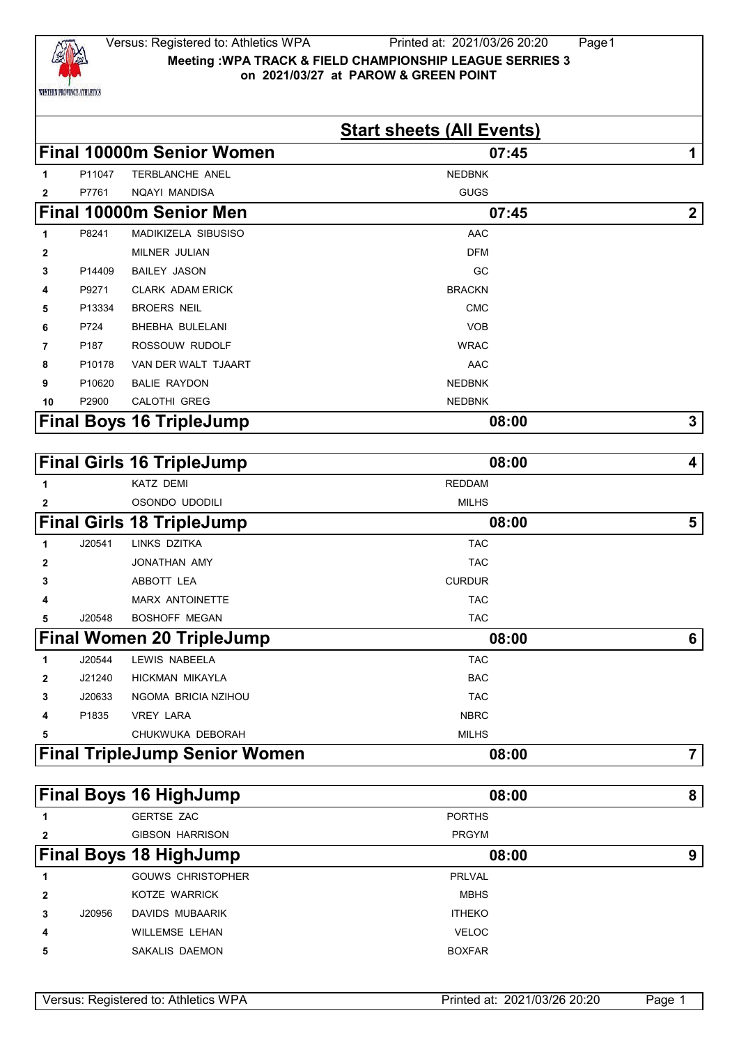

|              |        |                                                          | <b>Start sheets (All Events)</b> |                  |
|--------------|--------|----------------------------------------------------------|----------------------------------|------------------|
|              |        | <b>Final 10000m Senior Women</b>                         | 07:45                            | 1                |
| 1            | P11047 | <b>TERBLANCHE ANEL</b>                                   | <b>NEDBNK</b>                    |                  |
| $\mathbf{2}$ | P7761  | NQAYI MANDISA                                            | <b>GUGS</b>                      |                  |
|              |        | <b>Final 10000m Senior Men</b>                           | 07:45                            | $\boldsymbol{2}$ |
| 1            | P8241  | MADIKIZELA SIBUSISO                                      | <b>AAC</b>                       |                  |
| 2            |        | MILNER JULIAN                                            | <b>DFM</b>                       |                  |
| 3            | P14409 | <b>BAILEY JASON</b>                                      | GC                               |                  |
| 4            | P9271  | <b>CLARK ADAM ERICK</b>                                  | <b>BRACKN</b>                    |                  |
| 5            | P13334 | <b>BROERS NEIL</b>                                       | <b>CMC</b>                       |                  |
| 6            | P724   | BHEBHA BULELANI                                          | <b>VOB</b>                       |                  |
| 7            | P187   | ROSSOUW RUDOLF                                           | <b>WRAC</b>                      |                  |
| 8            | P10178 | VAN DER WALT TJAART                                      | AAC                              |                  |
| 9            | P10620 | <b>BALIE RAYDON</b>                                      | <b>NEDBNK</b>                    |                  |
| 10           | P2900  | CALOTHI GREG                                             | <b>NEDBNK</b>                    |                  |
|              |        | <b>Final Boys 16 TripleJump</b>                          | 08:00                            | 3                |
|              |        | <b>Final Girls 16 TripleJump</b>                         | 08:00                            | 4                |
|              |        |                                                          |                                  |                  |
|              |        |                                                          |                                  |                  |
| 1            |        | <b>KATZ DEMI</b>                                         | <b>REDDAM</b>                    |                  |
| 2            |        | OSONDO UDODILI                                           | <b>MILHS</b>                     |                  |
|              |        | <b>Final Girls 18 TripleJump</b>                         | 08:00                            | 5                |
| 1            | J20541 | LINKS DZITKA                                             | <b>TAC</b>                       |                  |
| 2            |        | JONATHAN AMY                                             | <b>TAC</b>                       |                  |
| 3            |        | ABBOTT LEA                                               | <b>CURDUR</b>                    |                  |
| 4            |        | <b>MARX ANTOINETTE</b>                                   | <b>TAC</b>                       |                  |
| 5            | J20548 | <b>BOSHOFF MEGAN</b>                                     | <b>TAC</b>                       |                  |
|              |        | <b>Final Women 20 TripleJump</b>                         | 08:00                            | 6                |
| 1.           |        | J20544 LEWIS NABEELA                                     | <b>TAC</b>                       |                  |
| 2            | J21240 | HICKMAN MIKAYLA                                          | <b>BAC</b>                       |                  |
| 3            | J20633 | NGOMA BRICIA NZIHOU                                      | <b>TAC</b>                       |                  |
| 4            | P1835  | <b>VREY LARA</b>                                         | <b>NBRC</b>                      |                  |
| 5            |        | CHUKWUKA DEBORAH<br><b>Final TripleJump Senior Women</b> | <b>MILHS</b>                     |                  |

|   |        | <b>Final Boys 16 HighJump</b> | 08:00         | 8 |
|---|--------|-------------------------------|---------------|---|
|   |        | <b>GERTSE ZAC</b>             | <b>PORTHS</b> |   |
| 2 |        | <b>GIBSON HARRISON</b>        | <b>PRGYM</b>  |   |
|   |        | <b>Final Boys 18 HighJump</b> | 08:00         | 9 |
|   |        | <b>GOUWS CHRISTOPHER</b>      | <b>PRLVAL</b> |   |
| 2 |        | KOTZE WARRICK                 | <b>MBHS</b>   |   |
| 3 | J20956 | DAVIDS MUBAARIK               | <b>ITHEKO</b> |   |
| 4 |        | <b>WILLEMSE LEHAN</b>         | <b>VELOC</b>  |   |
| 5 |        | SAKALIS DAEMON                | <b>BOXFAR</b> |   |
|   |        |                               |               |   |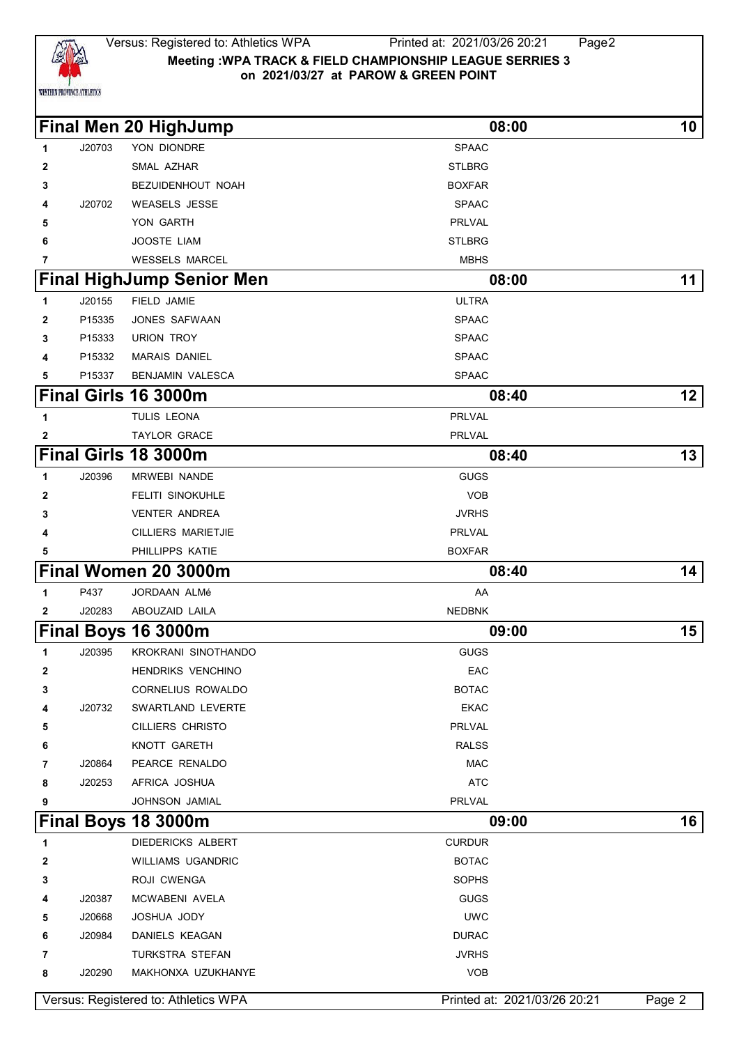

#### Versus: Registered to: Athletics WPA Printed at: 2021/03/26 20:21 Page2 **Meeting :WPA TRACK & FIELD CHAMPIONSHIP LEAGUE SERRIES 3 on 2021/03/27 at PAROW & GREEN POINT**

**Final Men 20 HighJump 08:00 10**

| 1            | J20703 | YON DIONDRE                      | <b>SPAAC</b>  |    |
|--------------|--------|----------------------------------|---------------|----|
| $\mathbf{2}$ |        | SMAL AZHAR                       | <b>STLBRG</b> |    |
| 3            |        | BEZUIDENHOUT NOAH                | <b>BOXFAR</b> |    |
| 4            | J20702 | <b>WEASELS JESSE</b>             | <b>SPAAC</b>  |    |
| 5            |        | YON GARTH                        | PRLVAL        |    |
| 6            |        | <b>JOOSTE LIAM</b>               | <b>STLBRG</b> |    |
| 7            |        | <b>WESSELS MARCEL</b>            | <b>MBHS</b>   |    |
|              |        | <b>Final HighJump Senior Men</b> | 08:00         | 11 |
| 1            | J20155 | FIELD JAMIE                      | <b>ULTRA</b>  |    |
| 2            | P15335 | JONES SAFWAAN                    | <b>SPAAC</b>  |    |
| 3            | P15333 | <b>URION TROY</b>                | <b>SPAAC</b>  |    |
| 4            | P15332 | <b>MARAIS DANIEL</b>             | <b>SPAAC</b>  |    |
| 5            | P15337 | <b>BENJAMIN VALESCA</b>          | <b>SPAAC</b>  |    |
|              |        | Final Girls 16 3000m             | 08:40         | 12 |
| $\mathbf 1$  |        | TULIS LEONA                      | PRLVAL        |    |
| $\mathbf{2}$ |        | <b>TAYLOR GRACE</b>              | PRLVAL        |    |
|              |        | Final Girls 18 3000m             | 08:40         | 13 |
| 1            | J20396 | MRWEBI NANDE                     | <b>GUGS</b>   |    |
| 2            |        | <b>FELITI SINOKUHLE</b>          | <b>VOB</b>    |    |
| 3            |        | <b>VENTER ANDREA</b>             | <b>JVRHS</b>  |    |
| 4            |        | <b>CILLIERS MARIETJIE</b>        | <b>PRLVAL</b> |    |
| 5            |        | PHILLIPPS KATIE                  | <b>BOXFAR</b> |    |
|              |        | Final Women 20 3000m             | 08:40         | 14 |
| 1            | P437   | JORDAAN ALMé                     | AA            |    |
| $\mathbf{2}$ | J20283 | ABOUZAID LAILA                   | <b>NEDBNK</b> |    |
|              |        | Final Boys 16 3000m              | 09:00         | 15 |
| 1            | J20395 | KROKRANI SINOTHANDO              | <b>GUGS</b>   |    |
| $\mathbf{2}$ |        | <b>HENDRIKS VENCHINO</b>         | EAC           |    |
| 3            |        | <b>CORNELIUS ROWALDO</b>         | <b>BOTAC</b>  |    |

 J20732 SWARTLAND LEVERTE **EXACTED AT A STATE**  CILLIERS CHRISTO **PRLVAL**  KNOTT GARETH **RALSS**  J20864 PEARCE RENALDO MAC J20253 AFRICA JOSHUA ATC JOHNSON JAMIAL **PREVAL Final Boys 18 3000m** 16 DIEDERICKS ALBERT **CURDUR**  WILLIAMS UGANDRIC BOTAC ROJI CWENGA SOPHS J20387 MCWABENI AVELA GUGS J20668 JOSHUA JODY UWC J20984 DANIELS KEAGAN DURAC DURAC

|        | Versus: Registered to: Athletics WPA | Printed at: 2021/03/26 20:21 | Page 2 |
|--------|--------------------------------------|------------------------------|--------|
| J20290 | MAKHONXA UZUKHANYE                   | VOB                          |        |
|        | TURKSTRA STEFAN                      | JVRHS                        |        |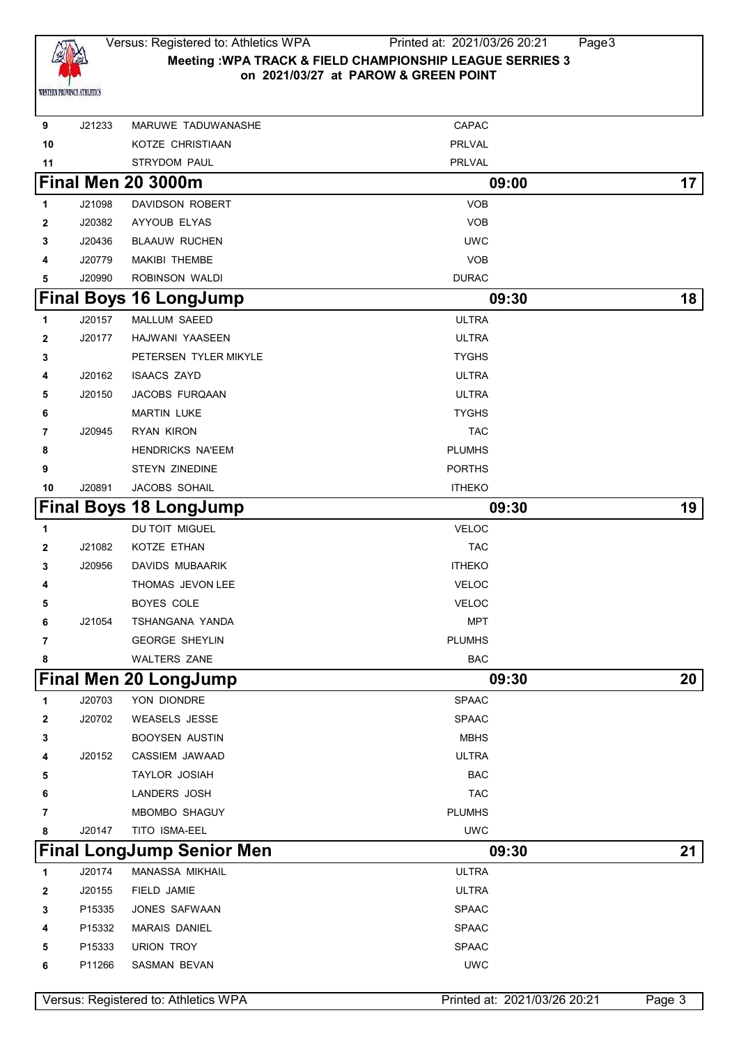

### Versus: Registered to: Athletics WPA Printed at: 2021/03/26 20:21 Page3 **Meeting :WPA TRACK & FIELD CHAMPIONSHIP LEAGUE SERRIES 3 on 2021/03/27 at PAROW & GREEN POINT**

| 9            | J21233 | MARUWE TADUWANASHE                   | CAPAC                        |        |
|--------------|--------|--------------------------------------|------------------------------|--------|
| 10           |        | KOTZE CHRISTIAAN                     | PRLVAL                       |        |
| 11           |        | STRYDOM PAUL                         | <b>PRLVAL</b>                |        |
|              |        | <b>Final Men 20 3000m</b>            | 09:00                        | 17     |
| 1            | J21098 | DAVIDSON ROBERT                      | <b>VOB</b>                   |        |
| $\mathbf{2}$ | J20382 | AYYOUB ELYAS                         | <b>VOB</b>                   |        |
| 3            | J20436 | <b>BLAAUW RUCHEN</b>                 | <b>UWC</b>                   |        |
| 4            | J20779 | MAKIBI THEMBE                        | <b>VOB</b>                   |        |
| 5            | J20990 | ROBINSON WALDI                       | <b>DURAC</b>                 |        |
|              |        | <b>Final Boys 16 LongJump</b>        | 09:30                        | 18     |
| 1            | J20157 | MALLUM SAEED                         | <b>ULTRA</b>                 |        |
| $\mathbf{2}$ | J20177 | HAJWANI YAASEEN                      | <b>ULTRA</b>                 |        |
| 3            |        | PETERSEN TYLER MIKYLE                | <b>TYGHS</b>                 |        |
| 4            | J20162 | <b>ISAACS ZAYD</b>                   | <b>ULTRA</b>                 |        |
| 5            | J20150 | JACOBS FURQAAN                       | <b>ULTRA</b>                 |        |
| 6            |        | <b>MARTIN LUKE</b>                   | <b>TYGHS</b>                 |        |
| 7            | J20945 | RYAN KIRON                           | <b>TAC</b>                   |        |
| 8            |        | <b>HENDRICKS NA'EEM</b>              | <b>PLUMHS</b>                |        |
| 9            |        | STEYN ZINEDINE                       | <b>PORTHS</b>                |        |
| 10           | J20891 | JACOBS SOHAIL                        | <b>ITHEKO</b>                |        |
|              |        | <b>Final Boys 18 LongJump</b>        | 09:30                        | 19     |
| 1            |        | DU TOIT MIGUEL                       | <b>VELOC</b>                 |        |
| $\mathbf{2}$ | J21082 | KOTZE ETHAN                          | <b>TAC</b>                   |        |
| 3            | J20956 | DAVIDS MUBAARIK                      | <b>ITHEKO</b>                |        |
| 4            |        | THOMAS JEVON LEE                     | <b>VELOC</b>                 |        |
| 5            |        | BOYES COLE                           | <b>VELOC</b>                 |        |
| 6            | J21054 | TSHANGANA YANDA                      | <b>MPT</b>                   |        |
| 7            |        | <b>GEORGE SHEYLIN</b>                | <b>PLUMHS</b>                |        |
| 8            |        | <b>WALTERS ZANE</b>                  | <b>BAC</b>                   |        |
|              |        | <b>Final Men 20 LongJump</b>         | 09:30                        | 20     |
| 1            | J20703 | YON DIONDRE                          | <b>SPAAC</b>                 |        |
| 2            | J20702 | <b>WEASELS JESSE</b>                 | <b>SPAAC</b>                 |        |
| 3            |        | <b>BOOYSEN AUSTIN</b>                | <b>MBHS</b>                  |        |
| 4            | J20152 | CASSIEM JAWAAD                       | <b>ULTRA</b>                 |        |
| 5            |        | TAYLOR JOSIAH                        | <b>BAC</b>                   |        |
| 6            |        | LANDERS JOSH                         | <b>TAC</b>                   |        |
| 7            |        | MBOMBO SHAGUY                        | <b>PLUMHS</b>                |        |
| 8            | J20147 | TITO ISMA-EEL                        | <b>UWC</b>                   |        |
|              |        | <b>Final LongJump Senior Men</b>     | 09:30                        | 21     |
| 1            | J20174 | MANASSA MIKHAIL                      | <b>ULTRA</b>                 |        |
| 2            | J20155 | FIELD JAMIE                          | <b>ULTRA</b>                 |        |
| 3            | P15335 | JONES SAFWAAN                        | <b>SPAAC</b>                 |        |
| 4            | P15332 | <b>MARAIS DANIEL</b>                 | <b>SPAAC</b>                 |        |
| 5            | P15333 | URION TROY                           | <b>SPAAC</b>                 |        |
| 6            | P11266 | SASMAN BEVAN                         | <b>UWC</b>                   |        |
|              |        |                                      |                              |        |
|              |        | Versus: Registered to: Athletics WPA | Printed at: 2021/03/26 20:21 | Page 3 |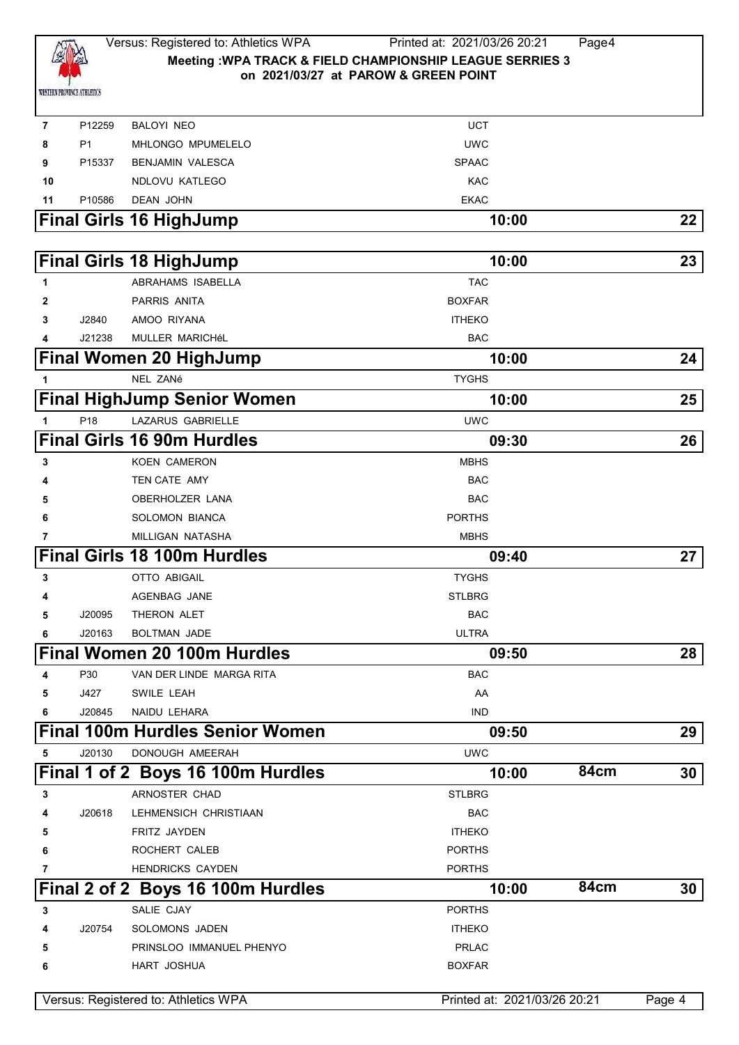

P12259 BALOYI NEO UCT

| 8  | P <sub>1</sub>  | <b>MHLONGO MPUMELELO</b>               | <b>UWC</b>                   |      |        |
|----|-----------------|----------------------------------------|------------------------------|------|--------|
| 9  | P15337          | <b>BENJAMIN VALESCA</b>                | <b>SPAAC</b>                 |      |        |
| 10 |                 | NDLOVU KATLEGO                         | <b>KAC</b>                   |      |        |
| 11 | P10586          | <b>DEAN JOHN</b>                       | <b>EKAC</b>                  |      |        |
|    |                 | <b>Final Girls 16 HighJump</b>         | 10:00                        |      | 22     |
|    |                 | <b>Final Girls 18 HighJump</b>         | 10:00                        |      | 23     |
| 1  |                 | ABRAHAMS ISABELLA                      | <b>TAC</b>                   |      |        |
| 2  |                 | PARRIS ANITA                           | <b>BOXFAR</b>                |      |        |
| 3  | J2840           | AMOO RIYANA                            | <b>ITHEKO</b>                |      |        |
|    | J21238          | MULLER MARICHéL                        | <b>BAC</b>                   |      |        |
|    |                 | <b>Final Women 20 HighJump</b>         | 10:00                        |      | 24     |
| 1  |                 | NEL ZANé                               | <b>TYGHS</b>                 |      |        |
|    |                 | <b>Final HighJump Senior Women</b>     | 10:00                        |      | 25     |
| 1  | P <sub>18</sub> | <b>LAZARUS GABRIELLE</b>               | <b>UWC</b>                   |      |        |
|    |                 | <b>Final Girls 16 90m Hurdles</b>      | 09:30                        |      | 26     |
| 3  |                 | <b>KOEN CAMERON</b>                    | <b>MBHS</b>                  |      |        |
|    |                 | TEN CATE AMY                           | <b>BAC</b>                   |      |        |
| 5  |                 | OBERHOLZER LANA                        | <b>BAC</b>                   |      |        |
| 6  |                 | <b>SOLOMON BIANCA</b>                  | <b>PORTHS</b>                |      |        |
|    |                 | MILLIGAN NATASHA                       | <b>MBHS</b>                  |      |        |
|    |                 | <b>Final Girls 18 100m Hurdles</b>     | 09:40                        |      | 27     |
| 3  |                 | <b>OTTO ABIGAIL</b>                    | <b>TYGHS</b>                 |      |        |
|    |                 | AGENBAG JANE                           | <b>STLBRG</b>                |      |        |
| 5  | J20095          | THERON ALET                            | <b>BAC</b>                   |      |        |
| 6  | J20163          | <b>BOLTMAN JADE</b>                    | <b>ULTRA</b>                 |      |        |
|    |                 | Final Women 20 100m Hurdles            | 09:50                        |      | 28     |
| 4  | P30             | VAN DER LINDE MARGA RITA               | <b>BAC</b>                   |      |        |
|    | J427            | SWILE LEAH                             | AA                           |      |        |
| 6  | J20845          | NAIDU LEHARA                           | <b>IND</b>                   |      |        |
|    |                 | <b>Final 100m Hurdles Senior Women</b> | 09:50                        |      | 29     |
| 5  | J20130          | DONOUGH AMEERAH                        | <b>UWC</b>                   |      |        |
|    |                 | Final 1 of 2 Boys 16 100m Hurdles      | 10:00                        | 84cm | 30     |
| 3  |                 | ARNOSTER CHAD                          | <b>STLBRG</b>                |      |        |
| 4  | J20618          | LEHMENSICH CHRISTIAAN                  | <b>BAC</b>                   |      |        |
| 5  |                 | FRITZ JAYDEN                           | <b>ITHEKO</b>                |      |        |
| 6  |                 | ROCHERT CALEB                          | <b>PORTHS</b>                |      |        |
| 7  |                 | <b>HENDRICKS CAYDEN</b>                | <b>PORTHS</b>                |      |        |
|    |                 | Final 2 of 2 Boys 16 100m Hurdles      | 10:00                        | 84cm | 30     |
| 3  |                 | SALIE CJAY                             | <b>PORTHS</b>                |      |        |
|    | J20754          | SOLOMONS JADEN                         | <b>ITHEKO</b>                |      |        |
| 5  |                 | PRINSLOO IMMANUEL PHENYO               | <b>PRLAC</b>                 |      |        |
| 6  |                 | HART JOSHUA                            | <b>BOXFAR</b>                |      |        |
|    |                 | Versus: Registered to: Athletics WPA   | Printed at: 2021/03/26 20:21 |      | Page 4 |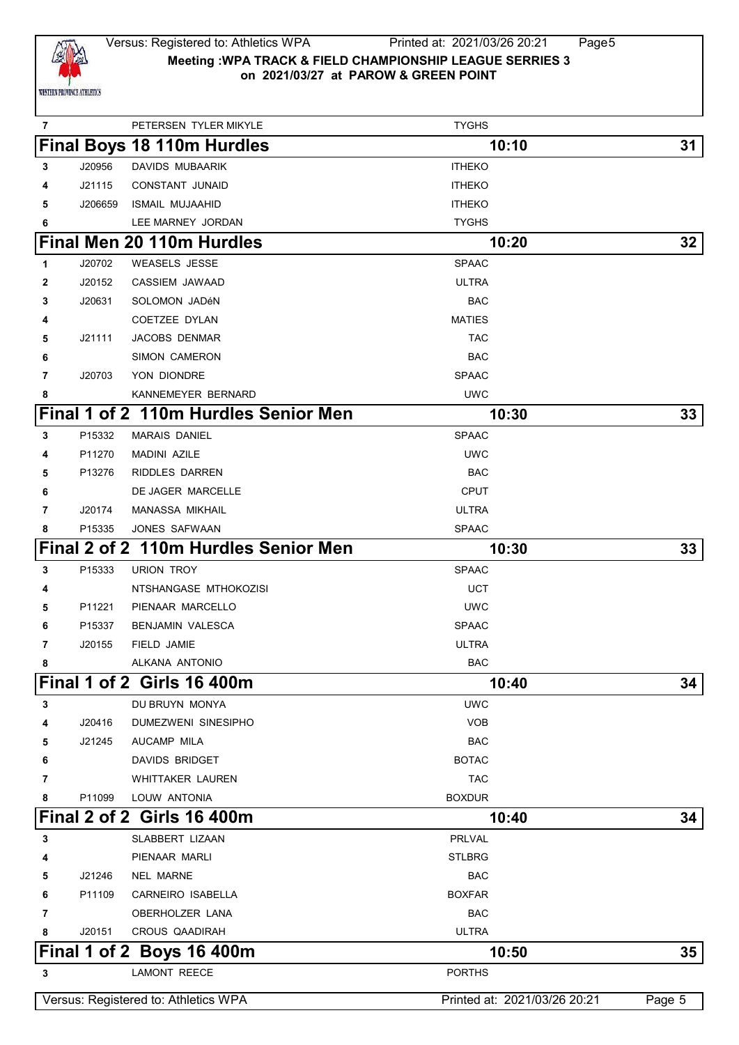

# Versus: Registered to: Athletics WPA Printed at: 2021/03/26 20:21 Page5 **Meeting :WPA TRACK & FIELD CHAMPIONSHIP LEAGUE SERRIES 3 on 2021/03/27 at PAROW & GREEN POINT**

| 7 |         | PETERSEN TYLER MIKYLE                | <b>TYGHS</b>                 |        |
|---|---------|--------------------------------------|------------------------------|--------|
|   |         | <b>Final Boys 18 110m Hurdles</b>    | 10:10                        | 31     |
| 3 | J20956  | DAVIDS MUBAARIK                      | <b>ITHEKO</b>                |        |
| 4 | J21115  | CONSTANT JUNAID                      | <b>ITHEKO</b>                |        |
| 5 | J206659 | <b>ISMAIL MUJAAHID</b>               | <b>ITHEKO</b>                |        |
| 6 |         | LEE MARNEY JORDAN                    | <b>TYGHS</b>                 |        |
|   |         | Final Men 20 110m Hurdles            | 10:20                        | 32     |
| 1 | J20702  | <b>WEASELS JESSE</b>                 | <b>SPAAC</b>                 |        |
| 2 | J20152  | CASSIEM JAWAAD                       | <b>ULTRA</b>                 |        |
| 3 | J20631  | SOLOMON JADéN                        | <b>BAC</b>                   |        |
| 4 |         | <b>COETZEE DYLAN</b>                 | <b>MATIES</b>                |        |
| 5 | J21111  | <b>JACOBS DENMAR</b>                 | <b>TAC</b>                   |        |
| 6 |         | <b>SIMON CAMERON</b>                 | <b>BAC</b>                   |        |
| 7 | J20703  | YON DIONDRE                          | <b>SPAAC</b>                 |        |
| 8 |         | KANNEMEYER BERNARD                   | <b>UWC</b>                   |        |
|   |         | Final 1 of 2 110m Hurdles Senior Men | 10:30                        | 33     |
| 3 | P15332  | <b>MARAIS DANIEL</b>                 | <b>SPAAC</b>                 |        |
| 4 | P11270  | <b>MADINI AZILE</b>                  | <b>UWC</b>                   |        |
| 5 | P13276  | RIDDLES DARREN                       | <b>BAC</b>                   |        |
| 6 |         | DE JAGER MARCELLE                    | <b>CPUT</b>                  |        |
| 7 | J20174  | <b>MANASSA MIKHAIL</b>               | <b>ULTRA</b>                 |        |
| 8 | P15335  | JONES SAFWAAN                        | <b>SPAAC</b>                 |        |
|   |         | Final 2 of 2 110m Hurdles Senior Men | 10:30                        | 33     |
| 3 | P15333  | <b>URION TROY</b>                    | <b>SPAAC</b>                 |        |
| 4 |         | NTSHANGASE MTHOKOZISI                | <b>UCT</b>                   |        |
| 5 | P11221  | PIENAAR MARCELLO                     | <b>UWC</b>                   |        |
| 6 | P15337  | <b>BENJAMIN VALESCA</b>              | <b>SPAAC</b>                 |        |
| 7 | J20155  | FIELD JAMIE                          | <b>ULTRA</b>                 |        |
| 8 |         | ALKANA ANTONIO                       | <b>BAC</b>                   |        |
|   |         | Final 1 of 2 Girls 16 400m           | 10:40                        | 34     |
| 3 |         | DU BRUYN MONYA                       | <b>UWC</b>                   |        |
| 4 | J20416  | DUMEZWENI SINESIPHO                  | <b>VOB</b>                   |        |
| 5 | J21245  | AUCAMP MILA                          | <b>BAC</b>                   |        |
| 6 |         | <b>DAVIDS BRIDGET</b>                | <b>BOTAC</b>                 |        |
| 7 |         | WHITTAKER LAUREN                     | <b>TAC</b>                   |        |
| 8 | P11099  | LOUW ANTONIA                         | <b>BOXDUR</b>                |        |
|   |         | <b>Final 2 of 2 Girls 16 400m</b>    | 10:40                        | 34     |
| 3 |         | SLABBERT LIZAAN                      | <b>PRLVAL</b>                |        |
| 4 |         | PIENAAR MARLI                        | <b>STLBRG</b>                |        |
| 5 | J21246  | NEL MARNE                            | <b>BAC</b>                   |        |
| 6 | P11109  | <b>CARNEIRO ISABELLA</b>             | <b>BOXFAR</b>                |        |
| 7 |         | OBERHOLZER LANA                      | <b>BAC</b>                   |        |
| 8 | J20151  | CROUS QAADIRAH                       | <b>ULTRA</b>                 |        |
|   |         | Final 1 of 2 Boys 16 400m            | 10:50                        | 35     |
| 3 |         | <b>LAMONT REECE</b>                  | <b>PORTHS</b>                |        |
|   |         | Versus: Registered to: Athletics WPA | Printed at: 2021/03/26 20:21 | Page 5 |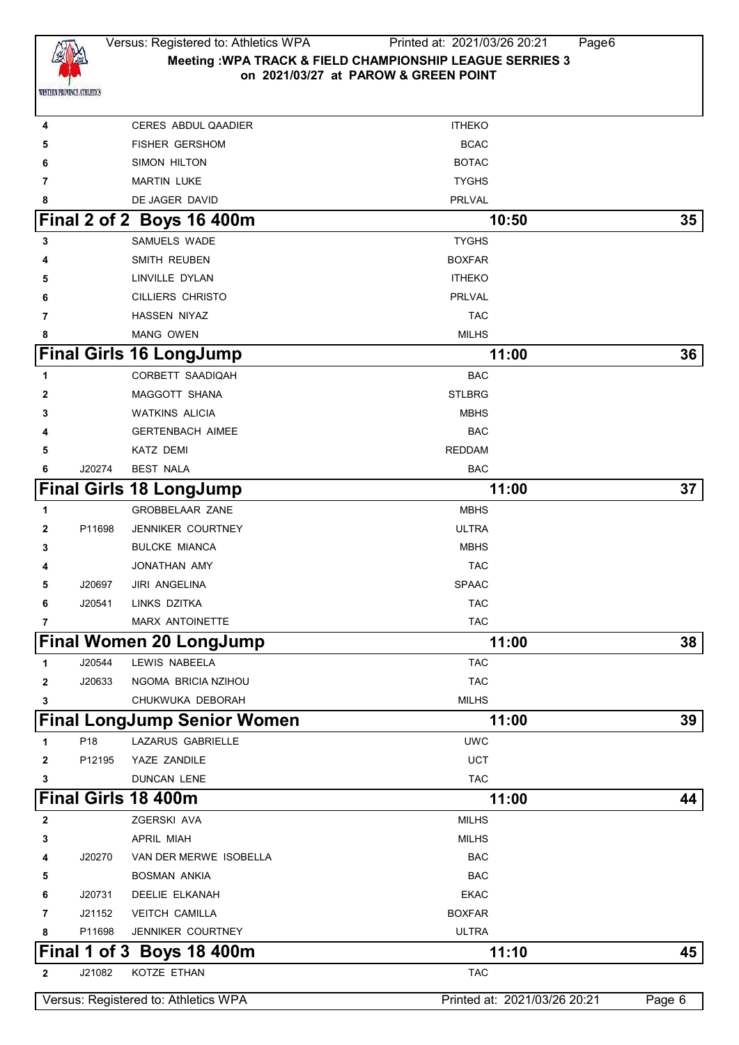

# Versus: Registered to: Athletics WPA Printed at: 2021/03/26 20:21 Page6 **Meeting :WPA TRACK & FIELD CHAMPIONSHIP LEAGUE SERRIES 3 on 2021/03/27 at PAROW & GREEN POINT**

| 4            |        | <b>CERES ABDUL QAADIER</b>           | <b>ITHEKO</b>                |        |
|--------------|--------|--------------------------------------|------------------------------|--------|
| 5            |        | FISHER GERSHOM                       | <b>BCAC</b>                  |        |
| 6            |        | SIMON HILTON                         | <b>BOTAC</b>                 |        |
| 7            |        | <b>MARTIN LUKE</b>                   | <b>TYGHS</b>                 |        |
| 8            |        | DE JAGER DAVID                       | <b>PRLVAL</b>                |        |
|              |        | Final 2 of 2 Boys 16 400m            | 10:50                        | 35     |
| 3            |        | SAMUELS WADE                         | <b>TYGHS</b>                 |        |
| 4            |        | SMITH REUBEN                         | <b>BOXFAR</b>                |        |
| 5            |        | LINVILLE DYLAN                       | <b>ITHEKO</b>                |        |
| 6            |        | <b>CILLIERS CHRISTO</b>              | PRLVAL                       |        |
| 7            |        | HASSEN NIYAZ                         | <b>TAC</b>                   |        |
| 8            |        | <b>MANG OWEN</b>                     | <b>MILHS</b>                 |        |
|              |        | <b>Final Girls 16 LongJump</b>       | 11:00                        | 36     |
| 1            |        | CORBETT SAADIQAH                     | <b>BAC</b>                   |        |
| $\mathbf{2}$ |        | MAGGOTT SHANA                        | <b>STLBRG</b>                |        |
| 3            |        | <b>WATKINS ALICIA</b>                | <b>MBHS</b>                  |        |
| 4            |        | <b>GERTENBACH AIMEE</b>              | <b>BAC</b>                   |        |
| 5            |        | <b>KATZ DEMI</b>                     | <b>REDDAM</b>                |        |
| 6            | J20274 | <b>BEST NALA</b>                     | <b>BAC</b>                   |        |
|              |        | <b>Final Girls 18 LongJump</b>       | 11:00                        | 37     |
| 1            |        | <b>GROBBELAAR ZANE</b>               | <b>MBHS</b>                  |        |
| $\mathbf{2}$ | P11698 | JENNIKER COURTNEY                    | <b>ULTRA</b>                 |        |
| 3            |        | <b>BULCKE MIANCA</b>                 | <b>MBHS</b>                  |        |
| 4            |        | JONATHAN AMY                         | <b>TAC</b>                   |        |
| 5            | J20697 | <b>JIRI ANGELINA</b>                 | <b>SPAAC</b>                 |        |
| 6            | J20541 | LINKS DZITKA                         | <b>TAC</b>                   |        |
| 7            |        | <b>MARX ANTOINETTE</b>               | <b>TAC</b>                   |        |
|              |        | <b>Final Women 20 LongJump</b>       | 11:00                        | 38     |
| 1            | J20544 | LEWIS NABEELA                        | <b>TAC</b>                   |        |
| $\mathbf{2}$ | J20633 | NGOMA BRICIA NZIHOU                  | <b>TAC</b>                   |        |
| 3            |        | CHUKWUKA DEBORAH                     | <b>MILHS</b>                 |        |
|              |        | <b>Final LongJump Senior Women</b>   | 11:00                        | 39     |
| 1            | P18    | LAZARUS GABRIELLE                    | <b>UWC</b>                   |        |
| $\mathbf{2}$ | P12195 | YAZE ZANDILE                         | <b>UCT</b>                   |        |
| 3            |        | <b>DUNCAN LENE</b>                   | <b>TAC</b>                   |        |
|              |        | <b>Final Girls 18 400m</b>           | 11:00                        | 44     |
| 2            |        | ZGERSKI AVA                          | <b>MILHS</b>                 |        |
| 3            |        | <b>APRIL MIAH</b>                    | <b>MILHS</b>                 |        |
| 4            | J20270 | VAN DER MERWE ISOBELLA               | <b>BAC</b>                   |        |
| 5            |        | <b>BOSMAN ANKIA</b>                  | <b>BAC</b>                   |        |
| 6            | J20731 | DEELIE ELKANAH                       | <b>EKAC</b>                  |        |
| 7            | J21152 | <b>VEITCH CAMILLA</b>                | <b>BOXFAR</b>                |        |
| 8            | P11698 | JENNIKER COURTNEY                    | <b>ULTRA</b>                 |        |
|              |        | Final 1 of 3 Boys 18 400m            | 11:10                        | 45     |
| $\mathbf{2}$ | J21082 | KOTZE ETHAN                          | <b>TAC</b>                   |        |
|              |        | Versus: Registered to: Athletics WPA | Printed at: 2021/03/26 20:21 | Page 6 |
|              |        |                                      |                              |        |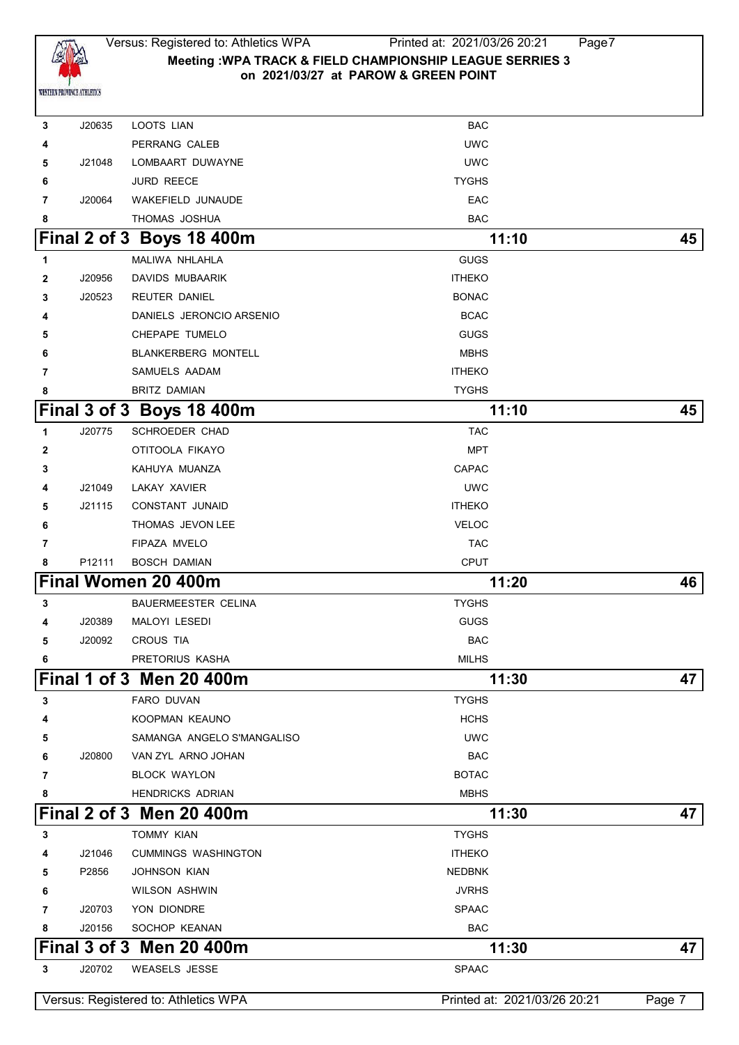

 J20635 LOOTS LIAN BAC PERRANG CALEB UWC J21048 LOMBAART DUWAYNE UWC **6** JURD REECE **TYGHS**  J20064 WAKEFIELD JUNAUDE EAC THOMAS JOSHUA **BAC Final 2 of 3 Boys 18 400m** 11:10 **45**  MALIWA NHLAHLA **GUGS**  J20956 DAVIDS MUBAARIK **ITHEKO**  J20523 REUTER DANIEL BONACCE BONACCE BONACCE BONACCE DANIELS JERONCIO ARSENIO **BOACCACCIONS**  CHEPAPE TUMELO **GUGS**  BLANKERBERG MONTELL MBHS SAMUELS AADAM **ITHEKO**  BRITZ DAMIAN **EXAMPLE 20** BRITZ DAMIAN **Final 3 of 3 Boys 18 400m 11:10 45** J20775 SCHROEDER CHAD TAC **OTITOOLA FIKAYO MPT**  KAHUYA MUANZA **CAPAC**  J21049 LAKAY XAVIER UWC J21115 CONSTANT JUNAID ITHEKO THOMAS JEVON LEE VELOC **FIPAZA MVELO TAC**  P12111 BOSCH DAMIAN CPUT **Final Women 20 400m 11:20 46** BAUERMEESTER CELINA TYGHS J20389 MALOYI LESEDI GUGS J20092 CROUS TIA BAC PRETORIUS KASHA MILHS **Final 1 of 3 Men 20 400m 11:30 47** FARO DUVAN TYGHS KOOPMAN KEAUNO HCHS SAMANGA ANGELO S'MANGALISO UWC J20800 VAN ZYL ARNO JOHAN BAC BLOCK WAYLON BOTAC HENDRICKS ADRIAN MBHS **Final 2 of 3 Men 20 400m 11:30 47**  TOMMY KIAN TOMMY STATES TO THE STATE OF THE STATE OF THE STATE OF THE STATE OF THE STATE OF THE STATE OF THE STATE OF THE STATE OF THE STATE OF THE STATE OF THE STATE OF THE STATE OF THE STATE OF THE STATE OF THE STATE J21046 CUMMINGS WASHINGTON ITHEKO P2856 JOHNSON KIAN NEDBNK WILSON ASHWIN JVRHS J20703 YON DIONDRE SPAAC J20156 SOCHOP KEANAN BAC **Final 3 of 3 Men 20 400m 11:30 47**

J20702 WEASELS JESSE SPAAC

Versus: Registered to: Athletics WPA Printed at: 2021/03/26 20:21 Page 7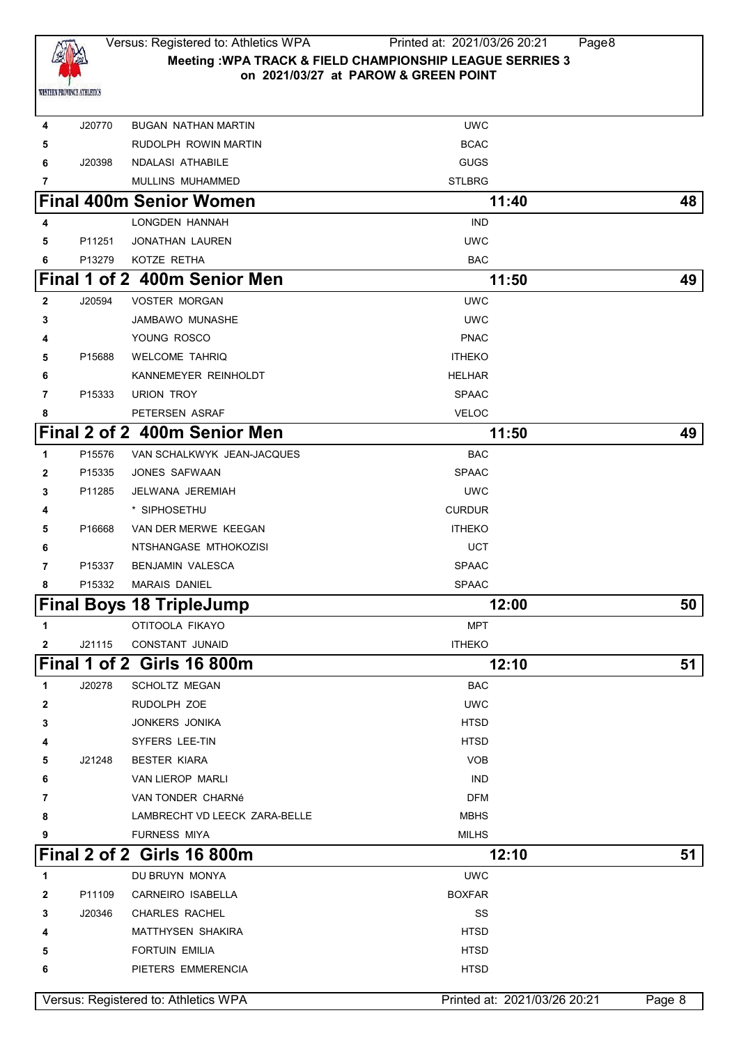

# Versus: Registered to: Athletics WPA Printed at: 2021/03/26 20:21 Page8 **Meeting :WPA TRACK & FIELD CHAMPIONSHIP LEAGUE SERRIES 3 on 2021/03/27 at PAROW & GREEN POINT**

| 4            | J20770 | <b>BUGAN NATHAN MARTIN</b>           | <b>UWC</b>                   |        |
|--------------|--------|--------------------------------------|------------------------------|--------|
| 5            |        | RUDOLPH ROWIN MARTIN                 | <b>BCAC</b>                  |        |
| 6            | J20398 | NDALASI ATHABILE                     | <b>GUGS</b>                  |        |
| 7            |        | MULLINS MUHAMMED                     | <b>STLBRG</b>                |        |
|              |        | <b>Final 400m Senior Women</b>       | 11:40                        | 48     |
| 4            |        | LONGDEN HANNAH                       | <b>IND</b>                   |        |
| 5            | P11251 | <b>JONATHAN LAUREN</b>               | <b>UWC</b>                   |        |
| 6            | P13279 | KOTZE RETHA                          | BAC                          |        |
|              |        | Final 1 of 2 400m Senior Men         | 11:50                        | 49     |
| $\mathbf{2}$ | J20594 | <b>VOSTER MORGAN</b>                 | <b>UWC</b>                   |        |
| 3            |        | <b>JAMBAWO MUNASHE</b>               | <b>UWC</b>                   |        |
| 4            |        | YOUNG ROSCO                          | <b>PNAC</b>                  |        |
| 5            | P15688 | <b>WELCOME TAHRIQ</b>                | <b>ITHEKO</b>                |        |
| 6            |        | KANNEMEYER REINHOLDT                 | <b>HELHAR</b>                |        |
| 7            | P15333 | URION TROY                           | <b>SPAAC</b>                 |        |
| 8            |        | PETERSEN ASRAF                       | <b>VELOC</b>                 |        |
|              |        | Final 2 of 2 400m Senior Men         | 11:50                        | 49     |
| 1            | P15576 | VAN SCHALKWYK JEAN-JACQUES           | <b>BAC</b>                   |        |
| 2            | P15335 | JONES SAFWAAN                        | <b>SPAAC</b>                 |        |
| 3            | P11285 | JELWANA JEREMIAH                     | <b>UWC</b>                   |        |
| 4            |        | * SIPHOSETHU                         | <b>CURDUR</b>                |        |
| 5            | P16668 | VAN DER MERWE KEEGAN                 | <b>ITHEKO</b>                |        |
| 6            |        | NTSHANGASE MTHOKOZISI                | UCT                          |        |
| 7            | P15337 | <b>BENJAMIN VALESCA</b>              | <b>SPAAC</b>                 |        |
| 8            | P15332 | <b>MARAIS DANIEL</b>                 | <b>SPAAC</b>                 |        |
|              |        | <b>Final Boys 18 TripleJump</b>      | 12:00                        | 50     |
| 1            |        | OTITOOLA FIKAYO                      | <b>MPT</b>                   |        |
| $\mathbf{2}$ | J21115 | CONSTANT JUNAID                      | <b>ITHEKO</b>                |        |
|              |        | Final 1 of 2 Girls 16 800m           | 12:10                        | 51     |
| 1            | J20278 | <b>SCHOLTZ MEGAN</b>                 | BAC                          |        |
| 2            |        | RUDOLPH ZOE                          | <b>UWC</b>                   |        |
| 3            |        | JONKERS JONIKA                       | <b>HTSD</b>                  |        |
| 4            |        | SYFERS LEE-TIN                       | <b>HTSD</b>                  |        |
| 5            | J21248 | <b>BESTER KIARA</b>                  | <b>VOB</b>                   |        |
| 6            |        | VAN LIEROP MARLI                     | <b>IND</b>                   |        |
| 7            |        | VAN TONDER CHARNé                    | <b>DFM</b>                   |        |
| 8            |        | LAMBRECHT VD LEECK ZARA-BELLE        | <b>MBHS</b>                  |        |
| 9            |        | <b>FURNESS MIYA</b>                  | <b>MILHS</b>                 |        |
|              |        | Final 2 of 2 Girls 16 800m           | 12:10                        | 51     |
| 1            |        | DU BRUYN MONYA                       | <b>UWC</b>                   |        |
| 2            | P11109 | CARNEIRO ISABELLA                    | <b>BOXFAR</b>                |        |
| 3            | J20346 | CHARLES RACHEL                       | SS                           |        |
| 4            |        | MATTHYSEN SHAKIRA                    | <b>HTSD</b>                  |        |
| 5            |        | <b>FORTUIN EMILIA</b>                | <b>HTSD</b>                  |        |
| 6            |        | PIETERS EMMERENCIA                   | <b>HTSD</b>                  |        |
|              |        |                                      |                              |        |
|              |        | Versus: Registered to: Athletics WPA | Printed at: 2021/03/26 20:21 | Page 8 |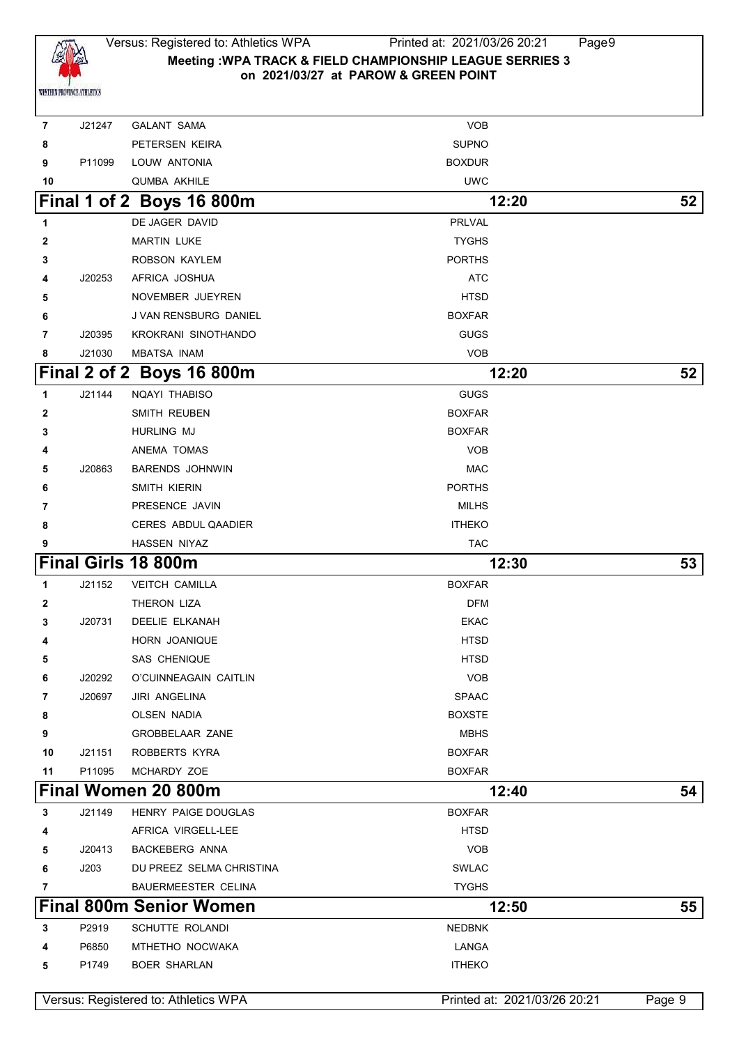

## Versus: Registered to: Athletics WPA Printed at: 2021/03/26 20:21 Page9 **Meeting :WPA TRACK & FIELD CHAMPIONSHIP LEAGUE SERRIES 3 on 2021/03/27 at PAROW & GREEN POINT**

| $\overline{7}$ | J21247 | <b>GALANT SAMA</b>                   | <b>VOB</b>                   |        |
|----------------|--------|--------------------------------------|------------------------------|--------|
| 8              |        | PETERSEN KEIRA                       | <b>SUPNO</b>                 |        |
| 9              | P11099 | LOUW ANTONIA                         | <b>BOXDUR</b>                |        |
| 10             |        | QUMBA AKHILE                         | <b>UWC</b>                   |        |
|                |        | Final 1 of 2 Boys 16 800m            | 12:20                        | 52     |
| 1              |        | DE JAGER DAVID                       | PRLVAL                       |        |
| 2              |        | <b>MARTIN LUKE</b>                   | <b>TYGHS</b>                 |        |
| 3              |        | ROBSON KAYLEM                        | <b>PORTHS</b>                |        |
| 4              | J20253 | AFRICA JOSHUA                        | ATC                          |        |
| 5              |        | NOVEMBER JUEYREN                     | <b>HTSD</b>                  |        |
| 6              |        | J VAN RENSBURG DANIEL                | <b>BOXFAR</b>                |        |
| 7              | J20395 | KROKRANI SINOTHANDO                  | <b>GUGS</b>                  |        |
| 8              | J21030 | <b>MBATSA INAM</b>                   | <b>VOB</b>                   |        |
|                |        | Final 2 of 2 Boys 16 800m            | 12:20                        | 52     |
| 1              | J21144 | NQAYI THABISO                        | <b>GUGS</b>                  |        |
| 2              |        | SMITH REUBEN                         | <b>BOXFAR</b>                |        |
| 3              |        | <b>HURLING MJ</b>                    | <b>BOXFAR</b>                |        |
| 4              |        | ANEMA TOMAS                          | <b>VOB</b>                   |        |
| 5              | J20863 | <b>BARENDS JOHNWIN</b>               | <b>MAC</b>                   |        |
| 6              |        | SMITH KIERIN                         | <b>PORTHS</b>                |        |
| 7              |        | PRESENCE JAVIN                       | <b>MILHS</b>                 |        |
| 8              |        | CERES ABDUL QAADIER                  | <b>ITHEKO</b>                |        |
| 9              |        | HASSEN NIYAZ                         | <b>TAC</b>                   |        |
|                |        | Final Girls 18 800m                  | 12:30                        | 53     |
| 1              | J21152 | <b>VEITCH CAMILLA</b>                | <b>BOXFAR</b>                |        |
| 2              |        | THERON LIZA                          | <b>DFM</b>                   |        |
| 3              | J20731 | DEELIE ELKANAH                       | EKAC                         |        |
| 4              |        | HORN JOANIQUE                        | <b>HTSD</b>                  |        |
| 5              |        | SAS CHENIQUE                         | <b>HTSD</b>                  |        |
| 6              | J20292 | O'CUINNEAGAIN CAITLIN                | <b>VOB</b>                   |        |
| 7              | J20697 | <b>JIRI ANGELINA</b>                 | <b>SPAAC</b>                 |        |
| 8              |        | <b>OLSEN NADIA</b>                   | <b>BOXSTE</b>                |        |
| 9              |        | <b>GROBBELAAR ZANE</b>               | <b>MBHS</b>                  |        |
| 10             | J21151 | ROBBERTS KYRA                        | <b>BOXFAR</b>                |        |
| 11             | P11095 | MCHARDY ZOE                          | <b>BOXFAR</b>                |        |
|                |        | Final Women 20 800m                  | 12:40                        | 54     |
| 3              | J21149 | HENRY PAIGE DOUGLAS                  | <b>BOXFAR</b>                |        |
| 4              |        | AFRICA VIRGELL-LEE                   | <b>HTSD</b>                  |        |
| 5              | J20413 | <b>BACKEBERG ANNA</b>                | <b>VOB</b>                   |        |
| 6              | J203   | DU PREEZ SELMA CHRISTINA             | <b>SWLAC</b>                 |        |
| 7              |        | <b>BAUERMEESTER CELINA</b>           | <b>TYGHS</b>                 |        |
|                |        | <b>Final 800m Senior Women</b>       | 12:50                        | 55     |
| 3              | P2919  | SCHUTTE ROLANDI                      | <b>NEDBNK</b>                |        |
| 4              | P6850  | MTHETHO NOCWAKA                      | LANGA                        |        |
| 5              | P1749  | <b>BOER SHARLAN</b>                  | <b>ITHEKO</b>                |        |
|                |        | Versus: Registered to: Athletics WPA | Printed at: 2021/03/26 20:21 | Page 9 |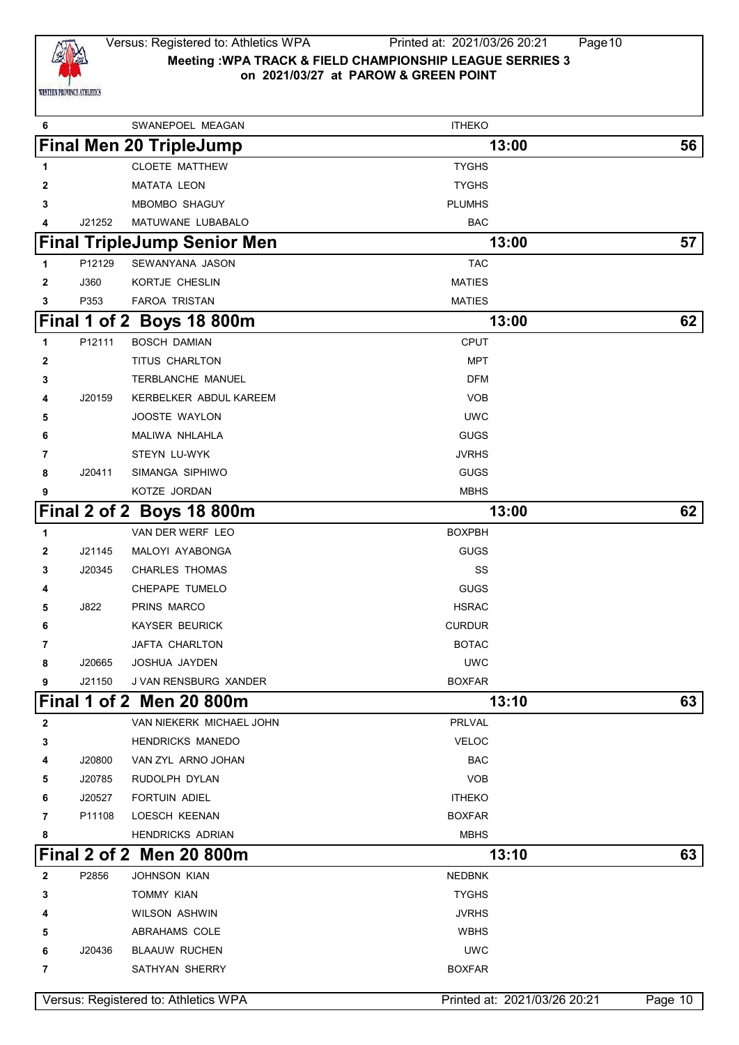

## Versus: Registered to: Athletics WPA Printed at: 2021/03/26 20:21 Page10 **Meeting :WPA TRACK & FIELD CHAMPIONSHIP LEAGUE SERRIES 3 on 2021/03/27 at PAROW & GREEN POINT**

| 6            |        | SWANEPOEL MEAGAN                     | <b>ITHEKO</b>                |         |
|--------------|--------|--------------------------------------|------------------------------|---------|
|              |        | <b>Final Men 20 TripleJump</b>       | 13:00                        | 56      |
| 1            |        | <b>CLOETE MATTHEW</b>                | <b>TYGHS</b>                 |         |
| 2            |        | <b>MATATA LEON</b>                   | <b>TYGHS</b>                 |         |
| 3            |        | MBOMBO SHAGUY                        | <b>PLUMHS</b>                |         |
| 4            | J21252 | MATUWANE LUBABALO                    | <b>BAC</b>                   |         |
|              |        | <b>Final TripleJump Senior Men</b>   | 13:00                        | 57      |
| 1            | P12129 | SEWANYANA JASON                      | <b>TAC</b>                   |         |
| $\mathbf{2}$ | J360   | KORTJE CHESLIN                       | <b>MATIES</b>                |         |
| 3            | P353   | FAROA TRISTAN                        | <b>MATIES</b>                |         |
|              |        | Final 1 of 2 Boys 18 800m            | 13:00                        | 62      |
| 1            | P12111 | <b>BOSCH DAMIAN</b>                  | CPUT                         |         |
| 2            |        | TITUS CHARLTON                       | <b>MPT</b>                   |         |
| 3            |        | TERBLANCHE MANUEL                    | <b>DFM</b>                   |         |
| 4            | J20159 | KERBELKER ABDUL KAREEM               | <b>VOB</b>                   |         |
| 5            |        | JOOSTE WAYLON                        | <b>UWC</b>                   |         |
| 6            |        | MALIWA NHLAHLA                       | <b>GUGS</b>                  |         |
| 7            |        | STEYN LU-WYK                         | JVRHS                        |         |
| 8            | J20411 | SIMANGA SIPHIWO                      | <b>GUGS</b>                  |         |
| 9            |        | KOTZE JORDAN                         | <b>MBHS</b>                  |         |
|              |        | Final 2 of 2 Boys 18 800m            | 13:00                        | 62      |
| 1            |        | VAN DER WERF LEO                     | <b>BOXPBH</b>                |         |
| 2            | J21145 | MALOYI AYABONGA                      | <b>GUGS</b>                  |         |
| 3            | J20345 | <b>CHARLES THOMAS</b>                | SS                           |         |
| 4            |        | CHEPAPE TUMELO                       | GUGS                         |         |
| 5            | J822   | PRINS MARCO                          | <b>HSRAC</b>                 |         |
| 6            |        | <b>KAYSER BEURICK</b>                | <b>CURDUR</b>                |         |
| 7            |        | JAFTA CHARLTON                       | <b>BOTAC</b>                 |         |
| 8            | J20665 | JOSHUA JAYDEN                        | <b>UWC</b>                   |         |
| 9            | J21150 | J VAN RENSBURG XANDER                | <b>BOXFAR</b>                |         |
|              |        | <b>Final 1 of 2 Men 20 800m</b>      | 13:10                        | 63      |
| $\mathbf{2}$ |        | VAN NIEKERK MICHAEL JOHN             | <b>PRLVAL</b>                |         |
| 3            |        | <b>HENDRICKS MANEDO</b>              | <b>VELOC</b>                 |         |
| 4            | J20800 | VAN ZYL ARNO JOHAN                   | <b>BAC</b>                   |         |
| 5            | J20785 | RUDOLPH DYLAN                        | <b>VOB</b>                   |         |
| 6            | J20527 | FORTUIN ADIEL                        | <b>ITHEKO</b>                |         |
| 7            | P11108 | <b>LOESCH KEENAN</b>                 | <b>BOXFAR</b>                |         |
| 8            |        | <b>HENDRICKS ADRIAN</b>              | <b>MBHS</b>                  |         |
|              |        | Final 2 of 2 Men 20 800m             | 13:10                        | 63      |
| $\mathbf{2}$ | P2856  | <b>JOHNSON KIAN</b>                  | <b>NEDBNK</b>                |         |
| 3            |        | <b>TOMMY KIAN</b>                    | <b>TYGHS</b>                 |         |
| 4            |        | <b>WILSON ASHWIN</b>                 | <b>JVRHS</b>                 |         |
| 5            |        | ABRAHAMS COLE                        | <b>WBHS</b>                  |         |
| 6            | J20436 | <b>BLAAUW RUCHEN</b>                 | <b>UWC</b>                   |         |
| 7            |        | SATHYAN SHERRY                       | <b>BOXFAR</b>                |         |
|              |        |                                      |                              |         |
|              |        | Versus: Registered to: Athletics WPA | Printed at: 2021/03/26 20:21 | Page 10 |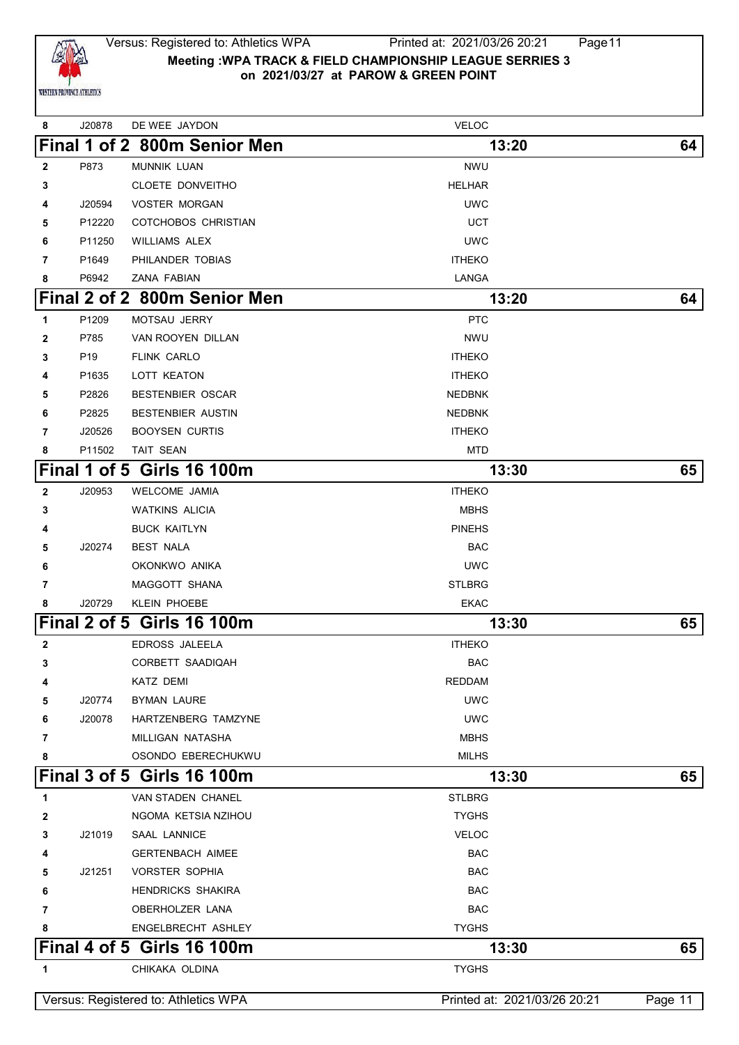

| 8              | J20878          | DE WEE JAYDON                        | <b>VELOC</b>                 |         |
|----------------|-----------------|--------------------------------------|------------------------------|---------|
|                |                 | Final 1 of 2 800m Senior Men         | 13:20                        | 64      |
| $\mathbf{2}$   | P873            | <b>MUNNIK LUAN</b>                   | <b>NWU</b>                   |         |
| 3              |                 | CLOETE DONVEITHO                     | <b>HELHAR</b>                |         |
| 4              | J20594          | <b>VOSTER MORGAN</b>                 | <b>UWC</b>                   |         |
| 5              | P12220          | COTCHOBOS CHRISTIAN                  | <b>UCT</b>                   |         |
| 6              | P11250          | WILLIAMS ALEX                        | <b>UWC</b>                   |         |
| 7              | P1649           | PHILANDER TOBIAS                     | <b>ITHEKO</b>                |         |
| 8              | P6942           | ZANA FABIAN                          | LANGA                        |         |
|                |                 | Final 2 of 2 800m Senior Men         | 13:20                        | 64      |
| 1              | P1209           | MOTSAU JERRY                         | <b>PTC</b>                   |         |
| 2              | P785            | VAN ROOYEN DILLAN                    | <b>NWU</b>                   |         |
| 3              | P <sub>19</sub> | FLINK CARLO                          | <b>ITHEKO</b>                |         |
| 4              | P1635           | LOTT KEATON                          | <b>ITHEKO</b>                |         |
| 5              | P2826           | <b>BESTENBIER OSCAR</b>              | <b>NEDBNK</b>                |         |
| 6              | P2825           | <b>BESTENBIER AUSTIN</b>             | NEDBNK                       |         |
| 7              | J20526          | <b>BOOYSEN CURTIS</b>                | <b>ITHEKO</b>                |         |
| 8              | P11502          | <b>TAIT SEAN</b>                     | <b>MTD</b>                   |         |
|                |                 | <b>Final 1 of 5 Girls 16 100m</b>    | 13:30                        | 65      |
| $\mathbf{2}$   | J20953          | <b>WELCOME JAMIA</b>                 | <b>ITHEKO</b>                |         |
| 3              |                 | <b>WATKINS ALICIA</b>                | <b>MBHS</b>                  |         |
| 4              |                 | <b>BUCK KAITLYN</b>                  | <b>PINEHS</b>                |         |
| 5              | J20274          | <b>BEST NALA</b>                     | <b>BAC</b>                   |         |
| 6              |                 | OKONKWO ANIKA                        | <b>UWC</b>                   |         |
| $\overline{7}$ |                 | MAGGOTT SHANA                        | <b>STLBRG</b>                |         |
| 8              | J20729          | <b>KLEIN PHOEBE</b>                  | <b>EKAC</b>                  |         |
|                |                 | <b>Final 2 of 5 Girls 16 100m</b>    | 13:30                        | 65      |
| $\mathbf{2}$   |                 | <b>EDROSS JALEELA</b>                | <b>ITHEKO</b>                |         |
| 3              |                 | CORBETT SAADIQAH                     | <b>BAC</b>                   |         |
| 4              |                 | <b>KATZ DEMI</b>                     | <b>REDDAM</b>                |         |
| 5              | J20774          | BYMAN LAURE                          | <b>UWC</b>                   |         |
| 6              | J20078          | HARTZENBERG TAMZYNE                  | <b>UWC</b>                   |         |
| 7              |                 | MILLIGAN NATASHA                     | <b>MBHS</b>                  |         |
| 8              |                 | OSONDO EBERECHUKWU                   | <b>MILHS</b>                 |         |
|                |                 | Final 3 of 5 Girls 16 100m           | 13:30                        | 65      |
| 1              |                 | VAN STADEN CHANEL                    | <b>STLBRG</b>                |         |
| 2              |                 | NGOMA KETSIA NZIHOU                  | <b>TYGHS</b>                 |         |
| 3              | J21019          | <b>SAAL LANNICE</b>                  | <b>VELOC</b>                 |         |
| 4              |                 | <b>GERTENBACH AIMEE</b>              | <b>BAC</b>                   |         |
| 5              | J21251          | <b>VORSTER SOPHIA</b>                | <b>BAC</b>                   |         |
| 6              |                 | <b>HENDRICKS SHAKIRA</b>             | <b>BAC</b>                   |         |
| 7              |                 | OBERHOLZER LANA                      | <b>BAC</b>                   |         |
| 8              |                 | ENGELBRECHT ASHLEY                   | <b>TYGHS</b>                 |         |
|                |                 | Final 4 of 5 Girls 16 100m           | 13:30                        | 65      |
| 1              |                 | CHIKAKA OLDINA                       | <b>TYGHS</b>                 |         |
|                |                 | Versus: Registered to: Athletics WPA | Printed at: 2021/03/26 20:21 | Page 11 |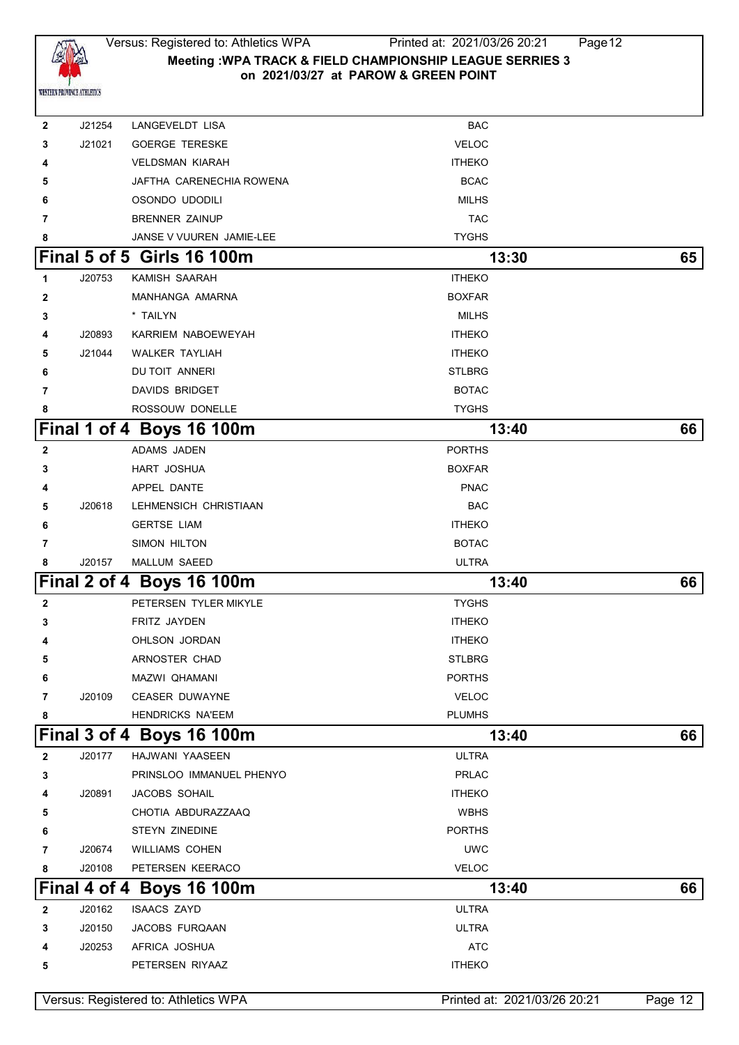

| 2            | J21254 | LANGEVELDT LISA                      | BAC                          |         |
|--------------|--------|--------------------------------------|------------------------------|---------|
| 3            | J21021 | <b>GOERGE TERESKE</b>                | <b>VELOC</b>                 |         |
| 4            |        | <b>VELDSMAN KIARAH</b>               | <b>ITHEKO</b>                |         |
| 5            |        | JAFTHA CARENECHIA ROWENA             | <b>BCAC</b>                  |         |
| 6            |        | OSONDO UDODILI                       | <b>MILHS</b>                 |         |
| 7            |        | <b>BRENNER ZAINUP</b>                | <b>TAC</b>                   |         |
| 8            |        | JANSE V VUUREN JAMIE-LEE             | <b>TYGHS</b>                 |         |
|              |        | Final 5 of 5 Girls 16 100m           | 13:30                        | 65      |
| 1            | J20753 | KAMISH SAARAH                        | <b>ITHEKO</b>                |         |
| $\mathbf{2}$ |        | MANHANGA AMARNA                      | <b>BOXFAR</b>                |         |
| 3            |        | * TAILYN                             | <b>MILHS</b>                 |         |
| 4            | J20893 | KARRIEM NABOEWEYAH                   | <b>ITHEKO</b>                |         |
| 5            | J21044 | <b>WALKER TAYLIAH</b>                | <b>ITHEKO</b>                |         |
| 6            |        | DU TOIT ANNERI                       | <b>STLBRG</b>                |         |
| 7            |        | DAVIDS BRIDGET                       | <b>BOTAC</b>                 |         |
| 8            |        | ROSSOUW DONELLE                      | <b>TYGHS</b>                 |         |
|              |        | Final 1 of 4 Boys 16 100m            | 13:40                        | 66      |
| $\mathbf{2}$ |        | ADAMS JADEN                          | <b>PORTHS</b>                |         |
| 3            |        | HART JOSHUA                          | <b>BOXFAR</b>                |         |
| 4            |        | APPEL DANTE                          | <b>PNAC</b>                  |         |
| 5            | J20618 | LEHMENSICH CHRISTIAAN                | <b>BAC</b>                   |         |
| 6            |        | <b>GERTSE LIAM</b>                   | <b>ITHEKO</b>                |         |
| 7            |        | SIMON HILTON                         | <b>BOTAC</b>                 |         |
| 8            | J20157 | MALLUM SAEED                         | <b>ULTRA</b>                 |         |
|              |        | <b>Final 2 of 4 Boys 16 100m</b>     | 13:40                        | 66      |
| $\mathbf{2}$ |        | PETERSEN TYLER MIKYLE                | <b>TYGHS</b>                 |         |
| 3            |        | FRITZ JAYDEN                         | <b>ITHEKO</b>                |         |
| 4            |        | OHLSON JORDAN                        | <b>ITHEKO</b>                |         |
| 5            |        | ARNOSTER CHAD                        | <b>STLBRG</b>                |         |
|              |        | MAZWI QHAMANI                        | <b>PORTHS</b>                |         |
| 7            | J20109 | <b>CEASER DUWAYNE</b>                | <b>VELOC</b>                 |         |
| 8            |        | HENDRICKS NA'EEM                     | <b>PLUMHS</b>                |         |
|              |        | Final 3 of 4 Boys 16 100m            | 13:40                        | 66      |
| $\mathbf{2}$ | J20177 | HAJWANI YAASEEN                      | <b>ULTRA</b>                 |         |
| 3            |        | PRINSLOO IMMANUEL PHENYO             | <b>PRLAC</b>                 |         |
| 4            | J20891 | JACOBS SOHAIL                        | <b>ITHEKO</b>                |         |
| 5            |        | CHOTIA ABDURAZZAAQ                   | <b>WBHS</b>                  |         |
| 6            |        | STEYN ZINEDINE                       | <b>PORTHS</b>                |         |
| 7            | J20674 | WILLIAMS COHEN                       | <b>UWC</b>                   |         |
| 8            | J20108 | PETERSEN KEERACO                     | <b>VELOC</b>                 |         |
|              |        | Final 4 of 4 Boys 16 100m            | 13:40                        | 66      |
| $\mathbf{2}$ | J20162 | <b>ISAACS ZAYD</b>                   | <b>ULTRA</b>                 |         |
| 3            | J20150 | JACOBS FURQAAN                       | <b>ULTRA</b>                 |         |
| 4            | J20253 | AFRICA JOSHUA                        | <b>ATC</b>                   |         |
| 5            |        | PETERSEN RIYAAZ                      | <b>ITHEKO</b>                |         |
|              |        | Versus: Registered to: Athletics WPA | Printed at: 2021/03/26 20:21 | Page 12 |
|              |        |                                      |                              |         |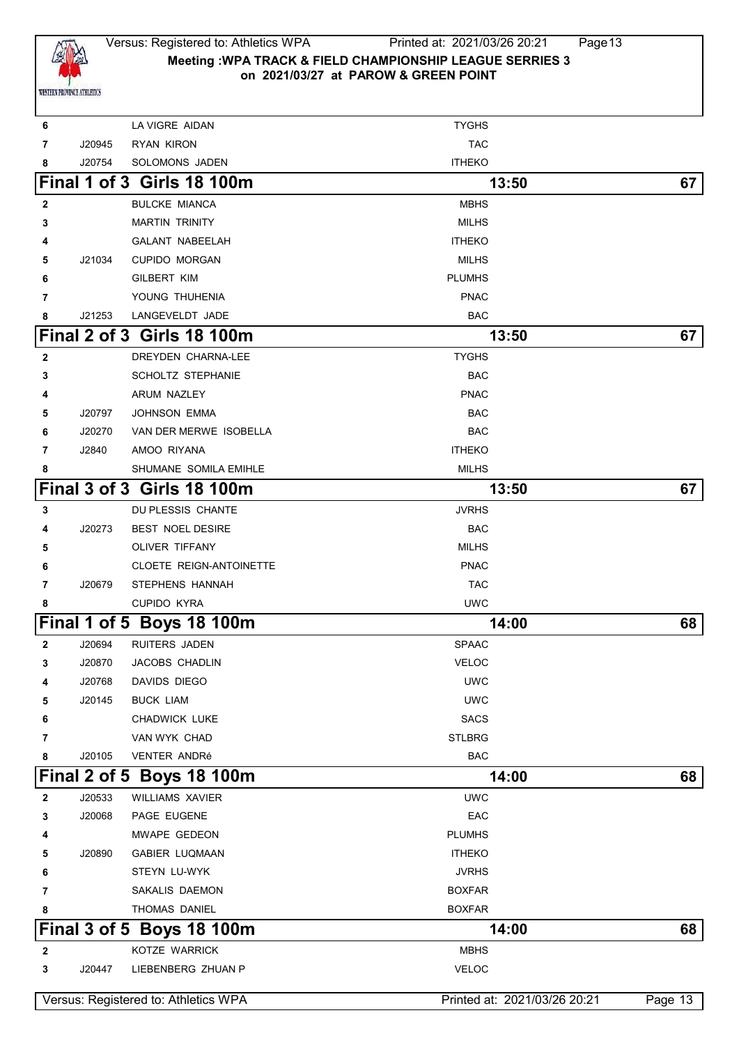

### Versus: Registered to: Athletics WPA Printed at: 2021/03/26 20:21 Page13 **Meeting :WPA TRACK & FIELD CHAMPIONSHIP LEAGUE SERRIES 3 on 2021/03/27 at PAROW & GREEN POINT**

| 6              |        | LA VIGRE AIDAN                       | <b>TYGHS</b>                 |         |
|----------------|--------|--------------------------------------|------------------------------|---------|
| 7              | J20945 | RYAN KIRON                           | <b>TAC</b>                   |         |
| 8              | J20754 | SOLOMONS JADEN                       | <b>ITHEKO</b>                |         |
|                |        | Final 1 of 3 Girls 18 100m           | 13:50                        | 67      |
| $\mathbf{2}$   |        | <b>BULCKE MIANCA</b>                 | <b>MBHS</b>                  |         |
| 3              |        | <b>MARTIN TRINITY</b>                | <b>MILHS</b>                 |         |
| 4              |        | <b>GALANT NABEELAH</b>               | <b>ITHEKO</b>                |         |
| 5              | J21034 | <b>CUPIDO MORGAN</b>                 | <b>MILHS</b>                 |         |
| 6              |        | GILBERT KIM                          | <b>PLUMHS</b>                |         |
| 7              |        | YOUNG THUHENIA                       | <b>PNAC</b>                  |         |
| 8              | J21253 | LANGEVELDT JADE                      | BAC                          |         |
|                |        | Final 2 of 3 Girls 18 100m           | 13:50                        | 67      |
| $\mathbf{2}$   |        | DREYDEN CHARNA-LEE                   | <b>TYGHS</b>                 |         |
| 3              |        | SCHOLTZ STEPHANIE                    | <b>BAC</b>                   |         |
| 4              |        | ARUM NAZLEY                          | <b>PNAC</b>                  |         |
| 5              | J20797 | <b>JOHNSON EMMA</b>                  | <b>BAC</b>                   |         |
| 6              | J20270 | VAN DER MERWE ISOBELLA               | <b>BAC</b>                   |         |
| 7              | J2840  | AMOO RIYANA                          | <b>ITHEKO</b>                |         |
| 8              |        | SHUMANE SOMILA EMIHLE                | <b>MILHS</b>                 |         |
|                |        | Final 3 of 3 Girls 18 100m           | 13:50                        | 67      |
| 3              |        | DU PLESSIS CHANTE                    | <b>JVRHS</b>                 |         |
| 4              | J20273 | <b>BEST NOEL DESIRE</b>              | <b>BAC</b>                   |         |
| 5              |        | OLIVER TIFFANY                       | <b>MILHS</b>                 |         |
| 6              |        | <b>CLOETE REIGN-ANTOINETTE</b>       | <b>PNAC</b>                  |         |
| 7              | J20679 | STEPHENS HANNAH                      | <b>TAC</b>                   |         |
| 8              |        | <b>CUPIDO KYRA</b>                   | <b>UWC</b>                   |         |
|                |        | Final 1 of 5 Boys 18 100m            | 14:00                        | 68      |
| $\overline{2}$ | J20694 | <b>RUITERS JADEN</b>                 | <b>SPAAC</b>                 |         |
| 3              | J20870 | <b>JACOBS CHADLIN</b>                | <b>VELOC</b>                 |         |
| 4              | J20768 | DAVIDS DIEGO                         | <b>UWC</b>                   |         |
| 5              | J20145 | <b>BUCK LIAM</b>                     | <b>UWC</b>                   |         |
| 6              |        | CHADWICK LUKE                        | <b>SACS</b>                  |         |
| 7              |        | VAN WYK CHAD                         | <b>STLBRG</b>                |         |
| 8              | J20105 | <b>VENTER ANDRé</b>                  | <b>BAC</b>                   |         |
|                |        | Final 2 of 5 Boys 18 100m            | 14:00                        | 68      |
| 2              | J20533 | <b>WILLIAMS XAVIER</b>               | <b>UWC</b>                   |         |
| 3              | J20068 | PAGE EUGENE                          | EAC                          |         |
| 4              |        | MWAPE GEDEON                         | <b>PLUMHS</b>                |         |
| 5              | J20890 | <b>GABIER LUQMAAN</b>                | <b>ITHEKO</b>                |         |
| 6              |        | STEYN LU-WYK                         | <b>JVRHS</b>                 |         |
| 7              |        | SAKALIS DAEMON                       | <b>BOXFAR</b>                |         |
| 8              |        | THOMAS DANIEL                        | <b>BOXFAR</b>                |         |
|                |        | Final 3 of 5 Boys 18 100m            | 14:00                        | 68      |
| $\mathbf{2}$   |        | KOTZE WARRICK                        | <b>MBHS</b>                  |         |
| 3              | J20447 | LIEBENBERG ZHUAN P                   | <b>VELOC</b>                 |         |
|                |        | Versus: Registered to: Athletics WPA | Printed at: 2021/03/26 20:21 | Page 13 |
|                |        |                                      |                              |         |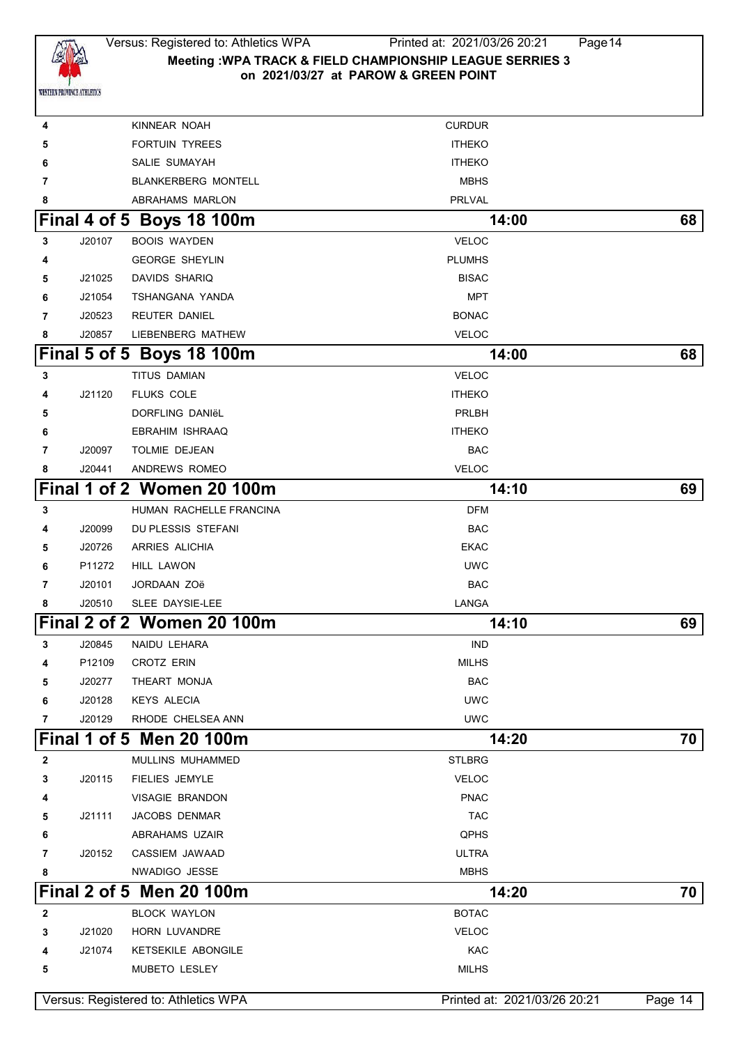

## Versus: Registered to: Athletics WPA Printed at: 2021/03/26 20:21 Page14 **Meeting :WPA TRACK & FIELD CHAMPIONSHIP LEAGUE SERRIES 3 on 2021/03/27 at PAROW & GREEN POINT**

| 4 |        | KINNEAR NOAH                         | <b>CURDUR</b>                |         |
|---|--------|--------------------------------------|------------------------------|---------|
| 5 |        | <b>FORTUIN TYREES</b>                | <b>ITHEKO</b>                |         |
| 6 |        | SALIE SUMAYAH                        | <b>ITHEKO</b>                |         |
| 7 |        | <b>BLANKERBERG MONTELL</b>           | <b>MBHS</b>                  |         |
| 8 |        | ABRAHAMS MARLON                      | <b>PRLVAL</b>                |         |
|   |        | Final 4 of 5 Boys 18 100m            | 14:00                        | 68      |
| 3 | J20107 | <b>BOOIS WAYDEN</b>                  | <b>VELOC</b>                 |         |
| 4 |        | <b>GEORGE SHEYLIN</b>                | <b>PLUMHS</b>                |         |
| 5 | J21025 | <b>DAVIDS SHARIQ</b>                 | <b>BISAC</b>                 |         |
| 6 | J21054 | TSHANGANA YANDA                      | MPT                          |         |
| 7 | J20523 | <b>REUTER DANIEL</b>                 | <b>BONAC</b>                 |         |
| 8 | J20857 | LIEBENBERG MATHEW                    | <b>VELOC</b>                 |         |
|   |        | Final 5 of 5 Boys 18 100m            | 14:00                        | 68      |
| 3 |        | TITUS DAMIAN                         | <b>VELOC</b>                 |         |
| 4 | J21120 | <b>FLUKS COLE</b>                    | <b>ITHEKO</b>                |         |
| 5 |        | DORFLING DANIËL                      | <b>PRLBH</b>                 |         |
| 6 |        | EBRAHIM ISHRAAQ                      | <b>ITHEKO</b>                |         |
| 7 | J20097 | TOLMIE DEJEAN                        | <b>BAC</b>                   |         |
| 8 | J20441 | ANDREWS ROMEO                        | <b>VELOC</b>                 |         |
|   |        | Final 1 of 2 Women 20 100m           | 14:10                        | 69      |
| 3 |        | HUMAN RACHELLE FRANCINA              | <b>DFM</b>                   |         |
| 4 | J20099 | DU PLESSIS STEFANI                   | <b>BAC</b>                   |         |
| 5 | J20726 | <b>ARRIES ALICHIA</b>                | <b>EKAC</b>                  |         |
| 6 | P11272 | <b>HILL LAWON</b>                    | <b>UWC</b>                   |         |
| 7 | J20101 | JORDAAN ZOë                          | <b>BAC</b>                   |         |
| 8 | J20510 | SLEE DAYSIE-LEE                      | LANGA                        |         |
|   |        | Final 2 of 2 Women 20 100m           | 14:10                        | 69      |
| 3 | J20845 | NAIDU LEHARA                         | <b>IND</b>                   |         |
| 4 | P12109 | CROTZ ERIN                           | <b>MILHS</b>                 |         |
| 5 | J20277 | THEART MONJA                         | <b>BAC</b>                   |         |
| 6 | J20128 | <b>KEYS ALECIA</b>                   | <b>UWC</b>                   |         |
| 7 | J20129 | RHODE CHELSEA ANN                    | <b>UWC</b>                   |         |
|   |        | Final 1 of 5 Men 20 100m             | 14:20                        | 70      |
| 2 |        | MULLINS MUHAMMED                     | <b>STLBRG</b>                |         |
| 3 | J20115 | FIELIES JEMYLE                       | <b>VELOC</b>                 |         |
| 4 |        | VISAGIE BRANDON                      | <b>PNAC</b>                  |         |
| 5 | J21111 | JACOBS DENMAR                        | <b>TAC</b>                   |         |
| 6 |        | ABRAHAMS UZAIR                       | QPHS                         |         |
| 7 | J20152 | CASSIEM JAWAAD                       | <b>ULTRA</b>                 |         |
| 8 |        | NWADIGO JESSE                        | <b>MBHS</b>                  |         |
|   |        | Final 2 of 5 Men 20 100m             | 14:20                        | 70      |
| 2 |        | <b>BLOCK WAYLON</b>                  | <b>BOTAC</b>                 |         |
| 3 | J21020 | HORN LUVANDRE                        | <b>VELOC</b>                 |         |
| 4 | J21074 | KETSEKILE ABONGILE                   | KAC                          |         |
| 5 |        | MUBETO LESLEY                        | <b>MILHS</b>                 |         |
|   |        | Versus: Registered to: Athletics WPA | Printed at: 2021/03/26 20:21 | Page 14 |
|   |        |                                      |                              |         |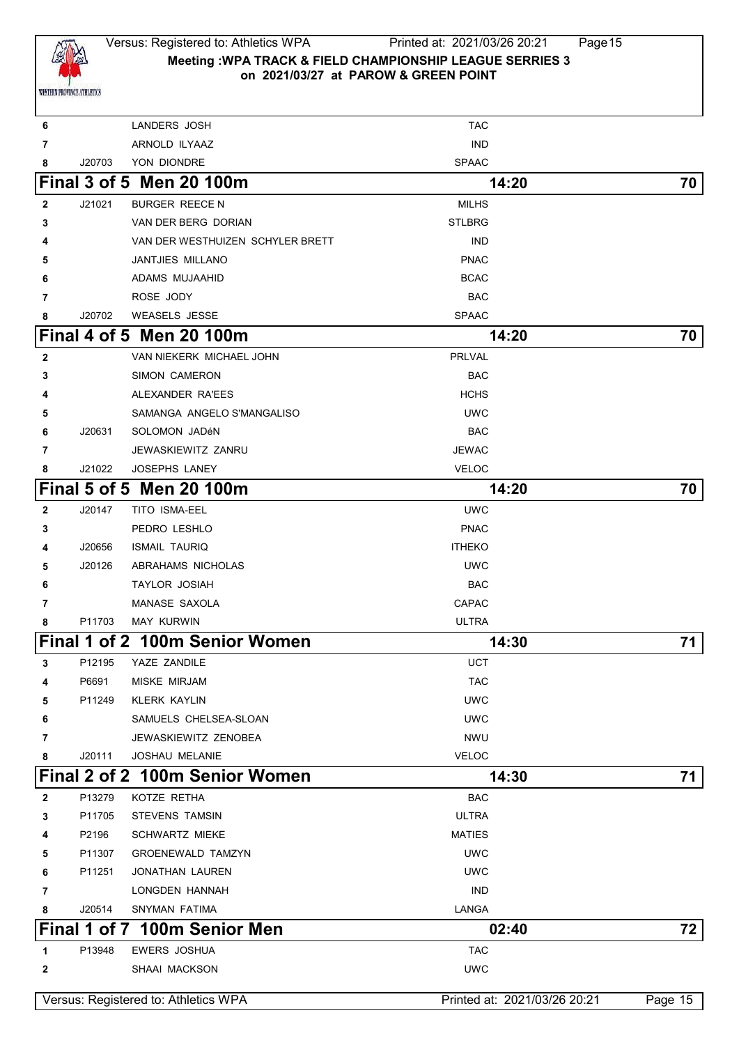

### Versus: Registered to: Athletics WPA Printed at: 2021/03/26 20:21 Page15 **Meeting :WPA TRACK & FIELD CHAMPIONSHIP LEAGUE SERRIES 3 on 2021/03/27 at PAROW & GREEN POINT**

|              |              | Versus: Registered to: Athletics WPA | Printed at: 2021/03/26 20:21 | Page 15 |
|--------------|--------------|--------------------------------------|------------------------------|---------|
|              |              |                                      |                              |         |
| $\mathbf{2}$ |              | SHAAI MACKSON                        | <b>UWC</b>                   |         |
| 1            | P13948       | EWERS JOSHUA                         | <b>TAC</b>                   |         |
|              | Final 1 of 7 | <b>100m Senior Men</b>               | 02:40                        | 72      |
| 8            | J20514       | SNYMAN FATIMA                        | LANGA                        |         |
| 7            |              | LONGDEN HANNAH                       | <b>IND</b>                   |         |
| 6            | P11251       | JONATHAN LAUREN                      | <b>UWC</b>                   |         |
| 5            | P11307       | <b>GROENEWALD TAMZYN</b>             | <b>UWC</b>                   |         |
| 4            | P2196        | <b>SCHWARTZ MIEKE</b>                | <b>MATIES</b>                |         |
| 3            | P11705       | STEVENS TAMSIN                       | <b>ULTRA</b>                 |         |
| $\mathbf{2}$ | P13279       | KOTZE RETHA                          | <b>BAC</b>                   |         |
|              |              | Final 2 of 2 100m Senior Women       | 14:30                        | 71      |
| 8            | J20111       | <b>JOSHAU MELANIE</b>                | <b>VELOC</b>                 |         |
| 7            |              | JEWASKIEWITZ ZENOBEA                 | <b>NWU</b>                   |         |
| 6            |              | SAMUELS CHELSEA-SLOAN                | <b>UWC</b>                   |         |
| 5            | P11249       | <b>KLERK KAYLIN</b>                  | <b>UWC</b>                   |         |
| 4            | P6691        | MISKE MIRJAM                         | <b>TAC</b>                   |         |
| 3            | P12195       | YAZE ZANDILE                         | UCT                          |         |
|              |              | Final 1 of 2 100m Senior Women       | 14:30                        | 71      |
| 8            | P11703       | <b>MAY KURWIN</b>                    | <b>ULTRA</b>                 |         |
| 7            |              | <b>MANASE SAXOLA</b>                 | CAPAC                        |         |
| 6            |              | <b>TAYLOR JOSIAH</b>                 | <b>BAC</b>                   |         |
| 5            | J20126       | ABRAHAMS NICHOLAS                    | <b>UWC</b>                   |         |
| 4            | J20656       | <b>ISMAIL TAURIQ</b>                 | <b>ITHEKO</b>                |         |
| 3            |              | PEDRO LESHLO                         | <b>PNAC</b>                  |         |
| $\mathbf{2}$ | J20147       | <b>TITO ISMA-EEL</b>                 | <b>UWC</b>                   |         |
|              |              | <b>Final 5 of 5 Men 20 100m</b>      | 14:20                        | 70      |
| 8            | J21022       | JOSEPHS LANEY                        | <b>VELOC</b>                 |         |
| 7            |              | JEWASKIEWITZ ZANRU                   | <b>JEWAC</b>                 |         |
| 6            | J20631       | SOLOMON JADÉN                        | <b>BAC</b>                   |         |
| 5            |              | SAMANGA ANGELO S'MANGALISO           | <b>UWC</b>                   |         |
| 4            |              | ALEXANDER RA'EES                     | <b>HCHS</b>                  |         |
| 3            |              | <b>SIMON CAMERON</b>                 | <b>BAC</b>                   |         |
| $\mathbf{2}$ |              | VAN NIEKERK MICHAEL JOHN             | PRLVAL                       |         |
|              |              | Final 4 of 5 Men 20 100m             | 14:20                        | 70      |
| 8            | J20702       | <b>WEASELS JESSE</b>                 | <b>SPAAC</b>                 |         |
| 7            |              | ROSE JODY                            | <b>BAC</b>                   |         |
| 6            |              | ADAMS MUJAAHID                       | <b>BCAC</b>                  |         |
| 5            |              | JANTJIES MILLANO                     | <b>PNAC</b>                  |         |
| 4            |              | VAN DER WESTHUIZEN SCHYLER BRETT     | <b>IND</b>                   |         |
| 3            |              | VAN DER BERG DORIAN                  | <b>STLBRG</b>                |         |
| $\mathbf{2}$ | J21021       | <b>BURGER REECEN</b>                 | <b>MILHS</b>                 |         |
|              |              | <b>Final 3 of 5 Men 20 100m</b>      | 14:20                        | 70      |
| 8            | J20703       | YON DIONDRE                          | <b>SPAAC</b>                 |         |
| 7            |              | ARNOLD ILYAAZ                        | <b>IND</b>                   |         |
| 6            |              | LANDERS JOSH                         | <b>TAC</b>                   |         |
|              |              |                                      |                              |         |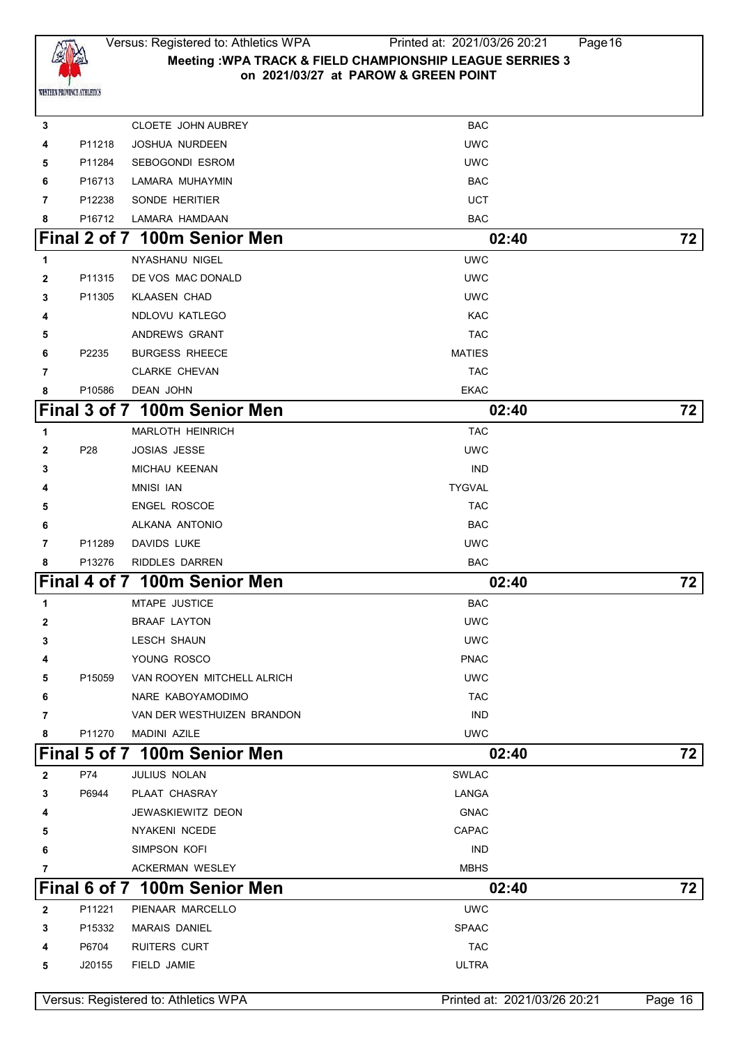

# Versus: Registered to: Athletics WPA Printed at: 2021/03/26 20:21 Page16 **Meeting :WPA TRACK & FIELD CHAMPIONSHIP LEAGUE SERRIES 3 on 2021/03/27 at PAROW & GREEN POINT**

| 3            |        | CLOETE JOHN AUBREY                   | <b>BAC</b>                   |           |
|--------------|--------|--------------------------------------|------------------------------|-----------|
| 4            | P11218 | <b>JOSHUA NURDEEN</b>                | <b>UWC</b>                   |           |
| 5            | P11284 | SEBOGONDI ESROM                      | <b>UWC</b>                   |           |
| 6            | P16713 | LAMARA MUHAYMIN                      | <b>BAC</b>                   |           |
| 7            | P12238 | SONDE HERITIER                       | UCT                          |           |
| 8            | P16712 | LAMARA HAMDAAN                       | <b>BAC</b>                   |           |
|              |        | Final 2 of 7 100m Senior Men         | 02:40                        | 72        |
| 1            |        | <b>NYASHANU NIGEL</b>                | <b>UWC</b>                   |           |
| 2            | P11315 | DE VOS MAC DONALD                    | <b>UWC</b>                   |           |
| 3            | P11305 | <b>KLAASEN CHAD</b>                  | <b>UWC</b>                   |           |
| 4            |        | NDLOVU KATLEGO                       | KAC                          |           |
| 5            |        | ANDREWS GRANT                        | <b>TAC</b>                   |           |
| 6            | P2235  | <b>BURGESS RHEECE</b>                | <b>MATIES</b>                |           |
| 7            |        | <b>CLARKE CHEVAN</b>                 | <b>TAC</b>                   |           |
| 8            | P10586 | <b>DEAN JOHN</b>                     | <b>EKAC</b>                  |           |
|              |        | Final 3 of 7 100m Senior Men         | 02:40                        | 72        |
| 1            |        | <b>MARLOTH HEINRICH</b>              | <b>TAC</b>                   |           |
| $\mathbf{2}$ | P28    | <b>JOSIAS JESSE</b>                  | <b>UWC</b>                   |           |
| 3            |        | <b>MICHAU KEENAN</b>                 | <b>IND</b>                   |           |
| 4            |        | <b>MNISI IAN</b>                     | <b>TYGVAL</b>                |           |
| 5            |        | <b>ENGEL ROSCOE</b>                  | <b>TAC</b>                   |           |
| 6            |        | ALKANA ANTONIO                       | <b>BAC</b>                   |           |
| 7            | P11289 | DAVIDS LUKE                          | <b>UWC</b>                   |           |
| 8            | P13276 | RIDDLES DARREN                       | <b>BAC</b>                   |           |
|              |        | Final 4 of 7 100m Senior Men         | 02:40                        | 72        |
| 1            |        | <b>MTAPE JUSTICE</b>                 | <b>BAC</b>                   |           |
| 2            |        | <b>BRAAF LAYTON</b>                  | <b>UWC</b>                   |           |
| 3            |        | <b>LESCH SHAUN</b>                   | <b>UWC</b>                   |           |
| 4            |        | YOUNG ROSCO                          | <b>PNAC</b>                  |           |
| 5            | P15059 | VAN ROOYEN MITCHELL ALRICH           | <b>UWC</b>                   |           |
| 6            |        | NARE KABOYAMODIMO                    | <b>TAC</b>                   |           |
| 7            |        | VAN DER WESTHUIZEN BRANDON           | <b>IND</b>                   |           |
| 8            | P11270 | <b>MADINI AZILE</b>                  | <b>UWC</b>                   |           |
|              |        | <b>Final 5 of 7 100m Senior Men</b>  | 02:40                        | 72        |
| $\mathbf{2}$ | P74    | JULIUS NOLAN                         | <b>SWLAC</b>                 |           |
| 3            | P6944  | PLAAT CHASRAY                        | LANGA                        |           |
| 4            |        | JEWASKIEWITZ DEON                    | <b>GNAC</b>                  |           |
| 5            |        | <b>NYAKENI NCEDE</b>                 | <b>CAPAC</b>                 |           |
| 6            |        | SIMPSON KOFI                         | <b>IND</b>                   |           |
| 7            |        | <b>ACKERMAN WESLEY</b>               | <b>MBHS</b>                  |           |
|              |        | Final 6 of 7 100m Senior Men         | 02:40                        | 72        |
| 2            | P11221 | PIENAAR MARCELLO                     | <b>UWC</b>                   |           |
| 3            | P15332 | <b>MARAIS DANIEL</b>                 | <b>SPAAC</b>                 |           |
| 4            | P6704  | <b>RUITERS CURT</b>                  | <b>TAC</b>                   |           |
| 5            | J20155 | FIELD JAMIE                          | <b>ULTRA</b>                 |           |
|              |        | Versus: Registered to: Athletics WPA | Printed at: 2021/03/26 20:21 | Page $16$ |
|              |        |                                      |                              |           |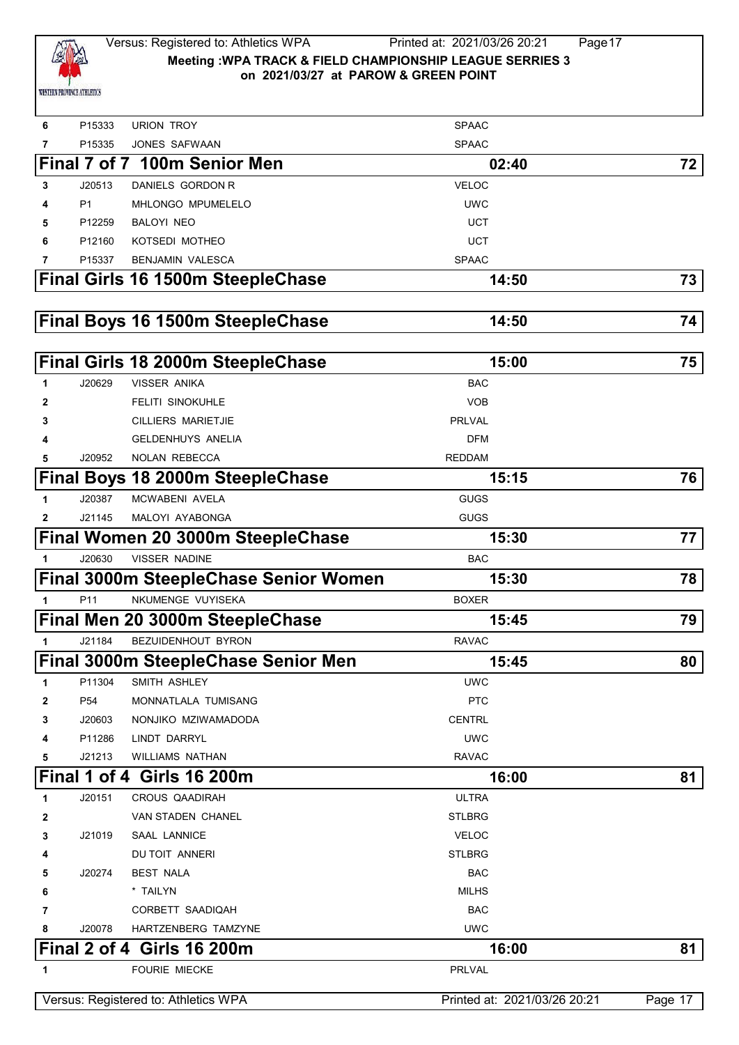

| 6           | P15333         | <b>URION TROY</b>                     | <b>SPAAC</b>                 |         |
|-------------|----------------|---------------------------------------|------------------------------|---------|
| 7           | P15335         | JONES SAFWAAN                         | <b>SPAAC</b>                 |         |
|             |                | Final 7 of 7 100m Senior Men          | 02:40                        | 72      |
| 3           | J20513         | DANIELS GORDON R                      | <b>VELOC</b>                 |         |
| 4           | P <sub>1</sub> | MHLONGO MPUMELELO                     | <b>UWC</b>                   |         |
| 5           | P12259         | BALOYI NEO                            | <b>UCT</b>                   |         |
| 6           | P12160         | KOTSEDI MOTHEO                        | <b>UCT</b>                   |         |
| 7           | P15337         | <b>BENJAMIN VALESCA</b>               | <b>SPAAC</b>                 |         |
|             |                | Final Girls 16 1500m SteepleChase     | 14:50                        | 73      |
|             |                |                                       |                              |         |
|             |                | Final Boys 16 1500m SteepleChase      | 14:50                        | 74      |
|             |                |                                       |                              |         |
|             |                | Final Girls 18 2000m SteepleChase     | 15:00                        | 75      |
| 1           | J20629         | <b>VISSER ANIKA</b>                   | <b>BAC</b>                   |         |
| 2           |                | <b>FELITI SINOKUHLE</b>               | <b>VOB</b>                   |         |
| 3           |                | <b>CILLIERS MARIETJIE</b>             | <b>PRLVAL</b>                |         |
| 4           |                | <b>GELDENHUYS ANELIA</b>              | <b>DFM</b>                   |         |
| 5           | J20952         | <b>NOLAN REBECCA</b>                  | <b>REDDAM</b>                |         |
|             |                | Final Boys 18 2000m SteepleChase      | 15:15                        | 76      |
| 1           | J20387         | MCWABENI AVELA                        | GUGS                         |         |
| 2           | J21145         | MALOYI AYABONGA                       | <b>GUGS</b>                  |         |
|             |                | Final Women 20 3000m SteepleChase     | 15:30                        | 77      |
|             | J20630         | <b>VISSER NADINE</b>                  | <b>BAC</b>                   |         |
|             |                | Final 3000m SteepleChase Senior Women | 15:30                        | 78      |
| $\mathbf 1$ | P11            | NKUMENGE VUYISEKA                     | <b>BOXER</b>                 |         |
|             |                | Final Men 20 3000m SteepleChase       | 15:45                        | 79      |
| 1           | J21184         | BEZUIDENHOUT BYRON                    | <b>RAVAC</b>                 |         |
|             |                | Final 3000m SteepleChase Senior Men   | 15:45                        | 80      |
| 1           | P11304         | SMITH ASHLEY                          | <b>UWC</b>                   |         |
| 2           | P54            | MONNATLALA TUMISANG                   | <b>PTC</b>                   |         |
| 3           | J20603         | NONJIKO MZIWAMADODA                   | <b>CENTRL</b>                |         |
| 4           | P11286         | LINDT DARRYL                          | <b>UWC</b>                   |         |
| 5           | J21213         | <b>WILLIAMS NATHAN</b>                | <b>RAVAC</b>                 |         |
|             |                | <b>Final 1 of 4 Girls 16 200m</b>     | 16:00                        | 81      |
| 1           | J20151         | <b>CROUS QAADIRAH</b>                 | <b>ULTRA</b>                 |         |
| 2           |                | VAN STADEN CHANEL                     | <b>STLBRG</b>                |         |
| 3           | J21019         | SAAL LANNICE                          | <b>VELOC</b>                 |         |
| 4           |                | DU TOIT ANNERI                        | <b>STLBRG</b>                |         |
| 5           | J20274         | <b>BEST NALA</b>                      | <b>BAC</b>                   |         |
| 6           |                | * TAILYN                              | <b>MILHS</b>                 |         |
| 7           |                | CORBETT SAADIQAH                      | <b>BAC</b>                   |         |
| 8           | J20078         | HARTZENBERG TAMZYNE                   | <b>UWC</b>                   |         |
|             |                | <b>Final 2 of 4 Girls 16 200m</b>     | 16:00                        | 81      |
| 1           |                | <b>FOURIE MIECKE</b>                  | <b>PRLVAL</b>                |         |
|             |                | Versus: Registered to: Athletics WPA  | Printed at: 2021/03/26 20:21 | Page 17 |
|             |                |                                       |                              |         |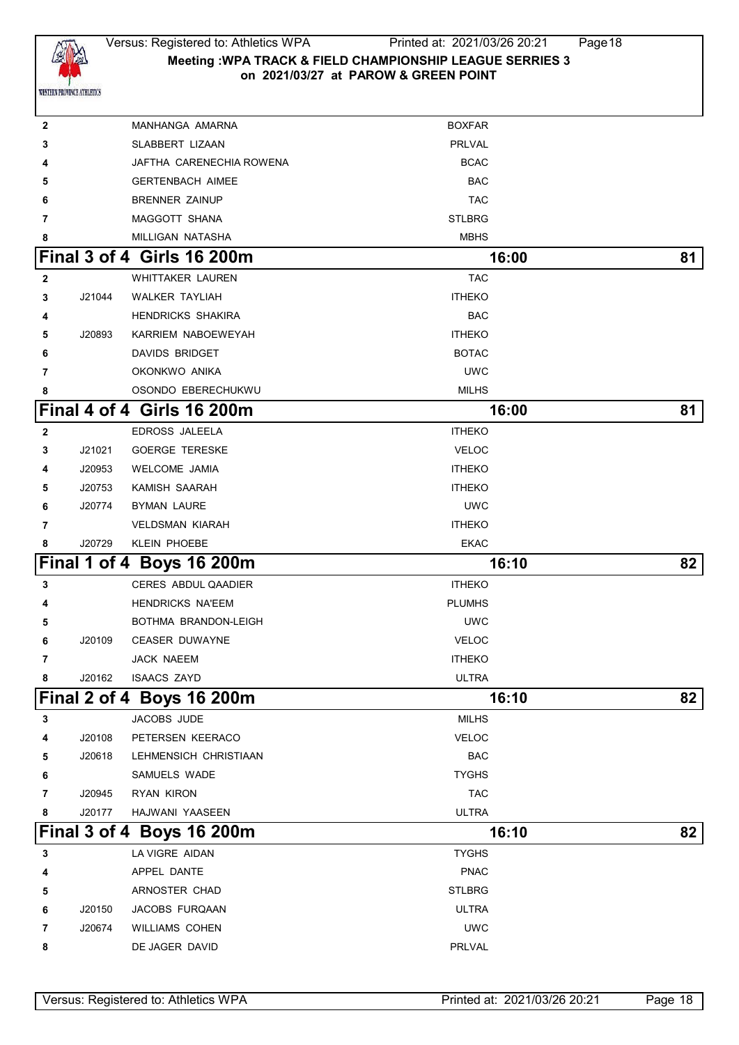

## Versus: Registered to: Athletics WPA Printed at: 2021/03/26 20:21 Page18 **Meeting :WPA TRACK & FIELD CHAMPIONSHIP LEAGUE SERRIES 3 on 2021/03/27 at PAROW & GREEN POINT**

| 2            |        | MANHANGA AMARNA            | <b>BOXFAR</b> |    |
|--------------|--------|----------------------------|---------------|----|
| 3            |        | SLABBERT LIZAAN            | PRLVAL        |    |
| 4            |        | JAFTHA CARENECHIA ROWENA   | <b>BCAC</b>   |    |
| 5            |        | <b>GERTENBACH AIMEE</b>    | <b>BAC</b>    |    |
| 6            |        | <b>BRENNER ZAINUP</b>      | <b>TAC</b>    |    |
| 7            |        | MAGGOTT SHANA              | <b>STLBRG</b> |    |
| 8            |        | MILLIGAN NATASHA           | <b>MBHS</b>   |    |
|              |        | Final 3 of 4 Girls 16 200m | 16:00         | 81 |
| $\mathbf{2}$ |        | WHITTAKER LAUREN           | <b>TAC</b>    |    |
| 3            | J21044 | <b>WALKER TAYLIAH</b>      | <b>ITHEKO</b> |    |
| 4            |        | <b>HENDRICKS SHAKIRA</b>   | <b>BAC</b>    |    |
| 5            | J20893 | KARRIEM NABOEWEYAH         | <b>ITHEKO</b> |    |
| 6            |        | DAVIDS BRIDGET             | <b>BOTAC</b>  |    |
| 7            |        | OKONKWO ANIKA              | <b>UWC</b>    |    |
| 8            |        | OSONDO EBERECHUKWU         | <b>MILHS</b>  |    |
|              |        | Final 4 of 4 Girls 16 200m | 16:00         | 81 |
| $\mathbf{2}$ |        | EDROSS JALEELA             | <b>ITHEKO</b> |    |
| 3            | J21021 | <b>GOERGE TERESKE</b>      | <b>VELOC</b>  |    |
| 4            | J20953 | <b>WELCOME JAMIA</b>       | <b>ITHEKO</b> |    |
| 5            | J20753 | KAMISH SAARAH              | <b>ITHEKO</b> |    |
| 6            | J20774 | <b>BYMAN LAURE</b>         | <b>UWC</b>    |    |
| 7            |        | <b>VELDSMAN KIARAH</b>     | <b>ITHEKO</b> |    |
| 8            | J20729 | <b>KLEIN PHOEBE</b>        | EKAC          |    |
|              |        |                            |               |    |
|              |        | Final 1 of 4 Boys 16 200m  | 16:10         | 82 |
| 3            |        | <b>CERES ABDUL QAADIER</b> | <b>ITHEKO</b> |    |
| 4            |        | <b>HENDRICKS NA'EEM</b>    | <b>PLUMHS</b> |    |
| 5            |        | BOTHMA BRANDON-LEIGH       | <b>UWC</b>    |    |
| 6            | J20109 | <b>CEASER DUWAYNE</b>      | <b>VELOC</b>  |    |
| 7            |        | JACK NAEEM                 | <b>ITHEKO</b> |    |
| 8            | J20162 | <b>ISAACS ZAYD</b>         | <b>ULTRA</b>  |    |
|              |        | Final 2 of 4 Boys 16 200m  | 16:10         | 82 |
| 3            |        | JACOBS JUDE                | <b>MILHS</b>  |    |
| 4            | J20108 | PETERSEN KEERACO           | <b>VELOC</b>  |    |
| 5            | J20618 | LEHMENSICH CHRISTIAAN      | <b>BAC</b>    |    |
| 6            |        | SAMUELS WADE               | <b>TYGHS</b>  |    |
| 7            | J20945 | RYAN KIRON                 | <b>TAC</b>    |    |
| 8            | J20177 | HAJWANI YAASEEN            | <b>ULTRA</b>  |    |
|              |        | Final 3 of 4 Boys 16 200m  | 16:10         | 82 |
| 3            |        | LA VIGRE AIDAN             | <b>TYGHS</b>  |    |
| 4            |        | APPEL DANTE                | <b>PNAC</b>   |    |
| 5            |        | ARNOSTER CHAD              | <b>STLBRG</b> |    |
| 6            | J20150 | JACOBS FURQAAN             | <b>ULTRA</b>  |    |
| 7            | J20674 | WILLIAMS COHEN             | <b>UWC</b>    |    |
| 8            |        | DE JAGER DAVID             | PRLVAL        |    |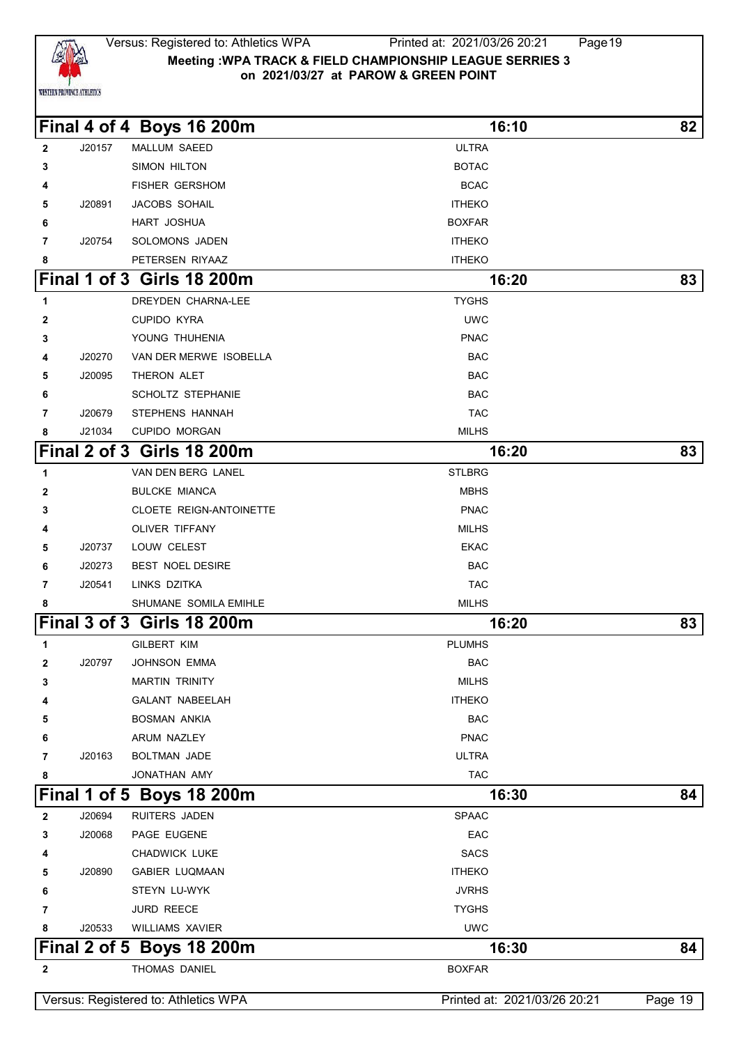

#### Versus: Registered to: Athletics WPA Printed at: 2021/03/26 20:21 Page19 **Meeting :WPA TRACK & FIELD CHAMPIONSHIP LEAGUE SERRIES 3 on 2021/03/27 at PAROW & GREEN POINT**

**Final 4 of 4 Boys 16 200m 16:10 82**

| $\mathbf{2}$ | J20157 | MALLUM SAEED                      | <b>ULTRA</b>  |    |
|--------------|--------|-----------------------------------|---------------|----|
| 3            |        | SIMON HILTON                      | <b>BOTAC</b>  |    |
| 4            |        | <b>FISHER GERSHOM</b>             | <b>BCAC</b>   |    |
| 5            | J20891 | JACOBS SOHAIL                     | <b>ITHEKO</b> |    |
| 6            |        | HART JOSHUA                       | <b>BOXFAR</b> |    |
| 7            | J20754 | SOLOMONS JADEN                    | <b>ITHEKO</b> |    |
| 8            |        | PETERSEN RIYAAZ                   | <b>ITHEKO</b> |    |
|              |        | <b>Final 1 of 3 Girls 18 200m</b> | 16:20         | 83 |
| 1            |        | DREYDEN CHARNA-LEE                | <b>TYGHS</b>  |    |
| $\mathbf 2$  |        | <b>CUPIDO KYRA</b>                | <b>UWC</b>    |    |
| 3            |        | YOUNG THUHENIA                    | <b>PNAC</b>   |    |
| 4            | J20270 | VAN DER MERWE ISOBELLA            | <b>BAC</b>    |    |
| 5            | J20095 | THERON ALET                       | <b>BAC</b>    |    |
| 6            |        | <b>SCHOLTZ STEPHANIE</b>          | <b>BAC</b>    |    |
| 7            | J20679 | STEPHENS HANNAH                   | <b>TAC</b>    |    |
| 8            | J21034 | <b>CUPIDO MORGAN</b>              | <b>MILHS</b>  |    |
|              |        | <b>Final 2 of 3 Girls 18 200m</b> | 16:20         | 83 |
| 1            |        | VAN DEN BERG LANEL                | <b>STLBRG</b> |    |
| 2            |        | <b>BULCKE MIANCA</b>              | <b>MBHS</b>   |    |
| 3            |        | <b>CLOETE REIGN-ANTOINETTE</b>    | <b>PNAC</b>   |    |
| 4            |        | OLIVER TIFFANY                    | MILHS         |    |
| 5            | J20737 | LOUW CELEST                       | <b>EKAC</b>   |    |
| 6            | J20273 | <b>BEST NOEL DESIRE</b>           | <b>BAC</b>    |    |
| 7            | J20541 | LINKS DZITKA                      | <b>TAC</b>    |    |
| 8            |        | SHUMANE SOMILA EMIHLE             | <b>MILHS</b>  |    |
|              |        | <b>Final 3 of 3 Girls 18 200m</b> | 16:20         | 83 |
| 1            |        | <b>GILBERT KIM</b>                | <b>PLUMHS</b> |    |
| $\mathbf{2}$ | J20797 | <b>JOHNSON EMMA</b>               | <b>BAC</b>    |    |
| 3            |        | <b>MARTIN TRINITY</b>             | <b>MILHS</b>  |    |
| 4            |        | GALANT NABEELAH                   | <b>ITHEKO</b> |    |
| 5            |        | <b>BOSMAN ANKIA</b>               | <b>BAC</b>    |    |
| 6            |        | ARUM NAZLEY                       | <b>PNAC</b>   |    |
| 7            | J20163 | BOLTMAN JADE                      | <b>ULTRA</b>  |    |
| 8            |        | JONATHAN AMY                      | <b>TAC</b>    |    |
|              |        | Final 1 of 5 Boys 18 200m         | 16:30         | 84 |
| $\mathbf{2}$ | J20694 | RUITERS JADEN                     | <b>SPAAC</b>  |    |
| 3            | J20068 | PAGE EUGENE                       | EAC           |    |
| 4            |        | CHADWICK LUKE                     | <b>SACS</b>   |    |
| 5            | J20890 | <b>GABIER LUQMAAN</b>             | <b>ITHEKO</b> |    |
| 6            |        | STEYN LU-WYK                      | <b>JVRHS</b>  |    |
| 7            |        | <b>JURD REECE</b>                 | <b>TYGHS</b>  |    |

# **Final 2 of 5 Boys 18 200m** 16:30 **84** THOMAS DANIEL BOXFAR

J20533 WILLIAMS XAVIER UWC

Versus: Registered to: Athletics WPA Printed at: 2021/03/26 20:21 Page 19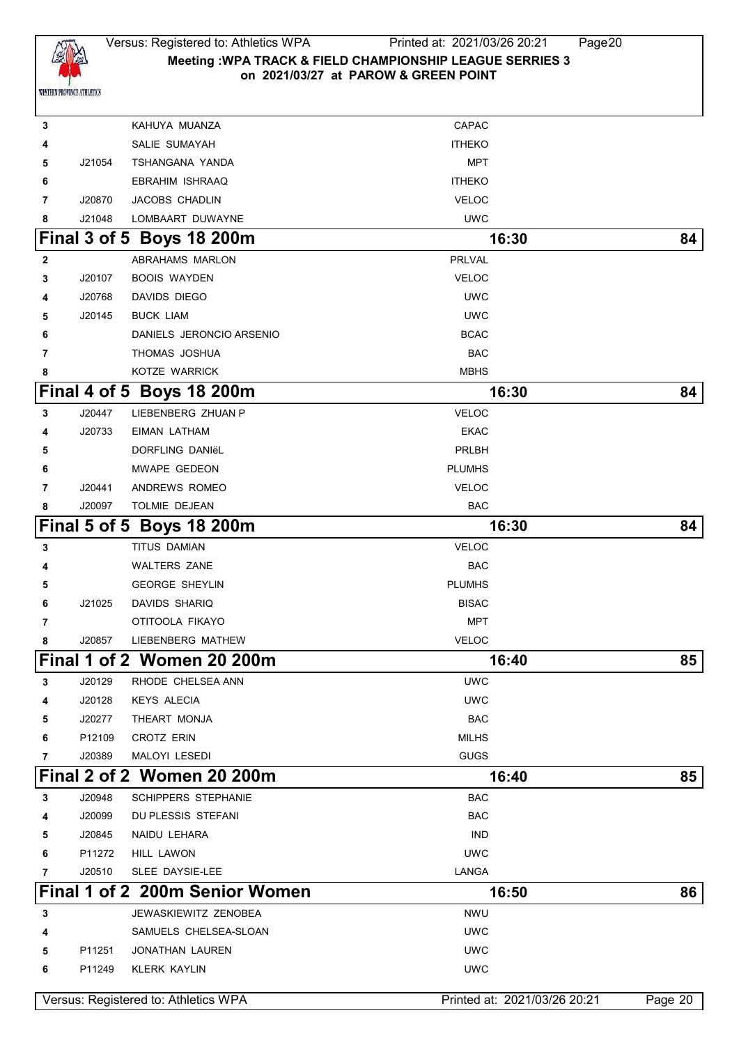

 KAHUYA MUANZA **CAPAC** CAPAC SALIE SUMAYAH **ITHEKO**  J21054 TSHANGANA YANDA MPT **EBRAHIM ISHRAAQ ITHEKO**  J20870 JACOBS CHADLIN VELOC J21048 LOMBAART DUWAYNE UWC **Final 3 of 5 Boys 18 200m** 16:30 **84**  ABRAHAMS MARLON **PRLVAL**  J20107 BOOIS WAYDEN VELOC J20768 DAVIDS DIEGO UWC J20145 BUCK LIAM UWC DANIELS JERONCIO ARSENIO **BRACCIO ESCAC**  THOMAS JOSHUA BACK **THOMAS JOSHUA**  KOTZE WARRICK **MBHS Final 4 of 5 Boys 18 200m** 16:30 **84**  J20447 LIEBENBERG ZHUAN P VELOC J20733 EIMAN LATHAM EKAC DORFLING DANIëL **PRLBH**  MWAPE GEDEON PLUMHS J20441 ANDREWS ROMEO **VELOC**  J20097 TOLMIE DEJEAN **BAC Final 5 of 5 Boys 18 200m** 16:30 **84**  TITUS DAMIAN **VELOC**  WALTERS ZANE BAC **GEORGE SHEYLIN CONSTRUCTER SHEYLIN**  J21025 DAVIDS SHARIQ **BISAC**  OTITOOLA FIKAYO MPT J20857 LIEBENBERG MATHEW VELOC **Final 1 of 2 Women 20 200m 16:40 85** J20129 RHODE CHELSEA ANN UWC J20128 KEYS ALECIA UWC J20277 THEART MONJA BAC P12109 CROTZ ERIN **MILHS**  J20389 MALOYI LESEDI GUGS **Final 2 of 2 Women 20 200m 16:40 85** J20948 SCHIPPERS STEPHANIE BAC J20099 DU PLESSIS STEFANI BAC J20845 NAIDU LEHARA **INDEPENDENT OF A SEXUAL EXAM**  P11272 HILL LAWON UWC J20510 SLEE DAYSIE-LEE **LANGA Final 1 of 2 200m Senior Women 16:50 86 3** JEWASKIEWITZ ZENOBEA **NWU**  SAMUELS CHELSEA-SLOAN UWC P11251 JONATHAN LAUREN UWC P11249 KLERK KAYLIN UWC Versus: Registered to: Athletics WPA **Printed at: 2021/03/26 20:21** Page 20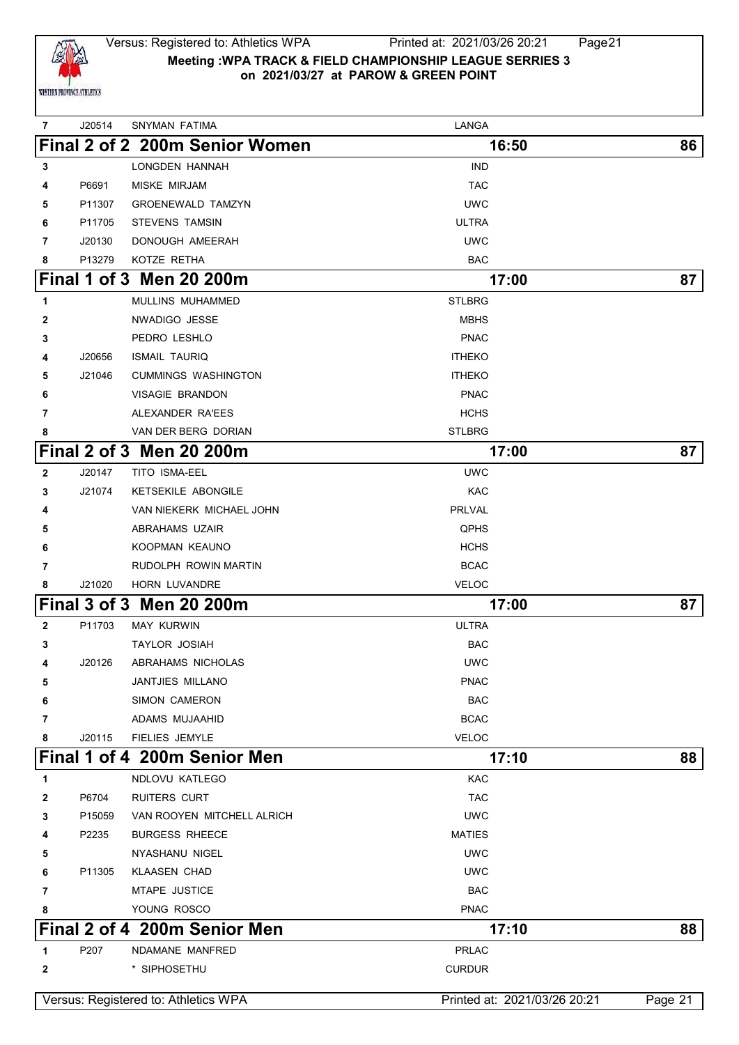

| 7            | J20514 | SNYMAN FATIMA                        | LANGA                        |         |
|--------------|--------|--------------------------------------|------------------------------|---------|
|              |        | Final 2 of 2 200m Senior Women       | 16:50                        | 86      |
| 3            |        | LONGDEN HANNAH                       | <b>IND</b>                   |         |
| 4            | P6691  | <b>MISKE MIRJAM</b>                  | <b>TAC</b>                   |         |
| 5            | P11307 | <b>GROENEWALD TAMZYN</b>             | <b>UWC</b>                   |         |
| 6            | P11705 | <b>STEVENS TAMSIN</b>                | ULTRA                        |         |
| 7            | J20130 | DONOUGH AMEERAH                      | <b>UWC</b>                   |         |
| 8            | P13279 | KOTZE RETHA                          | <b>BAC</b>                   |         |
|              |        | Final 1 of 3 Men 20 200m             | 17:00                        | 87      |
| 1            |        | MULLINS MUHAMMED                     | <b>STLBRG</b>                |         |
| 2            |        | NWADIGO JESSE                        | <b>MBHS</b>                  |         |
| 3            |        | PEDRO LESHLO                         | <b>PNAC</b>                  |         |
| 4            | J20656 | <b>ISMAIL TAURIQ</b>                 | <b>ITHEKO</b>                |         |
| 5            | J21046 | <b>CUMMINGS WASHINGTON</b>           | <b>ITHEKO</b>                |         |
| 6            |        | <b>VISAGIE BRANDON</b>               | <b>PNAC</b>                  |         |
| 7            |        | ALEXANDER RA'EES                     | <b>HCHS</b>                  |         |
| 8            |        | VAN DER BERG DORIAN                  | <b>STLBRG</b>                |         |
|              |        | <b>Final 2 of 3 Men 20 200m</b>      | 17:00                        | 87      |
| $\mathbf{2}$ | J20147 | TITO ISMA-EEL                        | <b>UWC</b>                   |         |
| 3            | J21074 | <b>KETSEKILE ABONGILE</b>            | KAC                          |         |
| 4            |        | VAN NIEKERK MICHAEL JOHN             | <b>PRLVAL</b>                |         |
| 5            |        | ABRAHAMS UZAIR                       | <b>QPHS</b>                  |         |
| 6            |        | KOOPMAN KEAUNO                       | <b>HCHS</b>                  |         |
| 7            |        | RUDOLPH ROWIN MARTIN                 | <b>BCAC</b>                  |         |
| 8            | J21020 | HORN LUVANDRE                        | <b>VELOC</b>                 |         |
|              |        | Final 3 of 3 Men 20 200m             | 17:00                        | 87      |
| $\mathbf{2}$ | P11703 | <b>MAY KURWIN</b>                    | ULTRA                        |         |
| 3            |        | <b>TAYLOR JOSIAH</b>                 | <b>BAC</b>                   |         |
| 4            | J20126 | ABRAHAMS NICHOLAS                    | <b>UWC</b>                   |         |
| 5            |        | <b>JANTJIES MILLANO</b>              | <b>PNAC</b>                  |         |
| 6            |        | <b>SIMON CAMERON</b>                 | <b>BAC</b>                   |         |
| 7            |        | ADAMS MUJAAHID                       | <b>BCAC</b>                  |         |
| 8            | J20115 | FIELIES JEMYLE                       | <b>VELOC</b>                 |         |
|              |        | Final 1 of 4 200m Senior Men         | 17:10                        | 88      |
| 1            |        | NDLOVU KATLEGO                       | <b>KAC</b>                   |         |
| 2            | P6704  | <b>RUITERS CURT</b>                  | <b>TAC</b>                   |         |
| 3            | P15059 | VAN ROOYEN MITCHELL ALRICH           | <b>UWC</b>                   |         |
| 4            | P2235  | <b>BURGESS RHEECE</b>                | <b>MATIES</b>                |         |
| 5            |        | NYASHANU NIGEL                       | <b>UWC</b>                   |         |
| 6            | P11305 | <b>KLAASEN CHAD</b>                  | <b>UWC</b>                   |         |
| 7            |        | MTAPE JUSTICE                        | <b>BAC</b>                   |         |
| 8            |        | YOUNG ROSCO                          | <b>PNAC</b>                  |         |
|              |        | Final 2 of 4 200m Senior Men         | 17:10                        | 88      |
| 1            | P207   | NDAMANE MANFRED                      | <b>PRLAC</b>                 |         |
| 2            |        | * SIPHOSETHU                         | <b>CURDUR</b>                |         |
|              |        | Versus: Registered to: Athletics WPA | Printed at: 2021/03/26 20:21 | Page 21 |
|              |        |                                      |                              |         |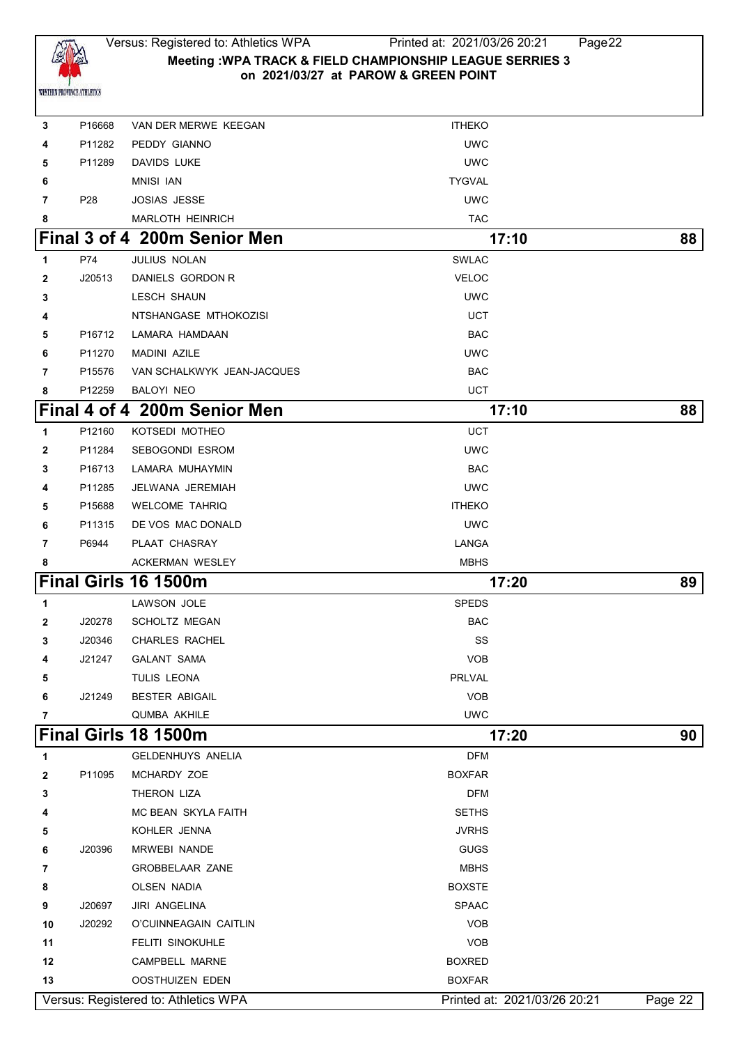

| 3  | P16668             | VAN DER MERWE KEEGAN                                    | <b>ITHEKO</b>                                 |         |
|----|--------------------|---------------------------------------------------------|-----------------------------------------------|---------|
| 4  | P11282             | PEDDY GIANNO                                            | <b>UWC</b>                                    |         |
| 5  | P11289             | DAVIDS LUKE                                             | <b>UWC</b>                                    |         |
| 6  |                    | <b>MNISI IAN</b>                                        | <b>TYGVAL</b>                                 |         |
| 7  | P <sub>28</sub>    | <b>JOSIAS JESSE</b>                                     | <b>UWC</b>                                    |         |
| 8  |                    | <b>MARLOTH HEINRICH</b>                                 | <b>TAC</b>                                    |         |
|    |                    | Final 3 of 4 200m Senior Men                            | 17:10                                         | 88      |
| 1  | P74                | JULIUS NOLAN                                            | <b>SWLAC</b>                                  |         |
| 2  | J20513             | DANIELS GORDON R                                        | <b>VELOC</b>                                  |         |
| 3  |                    | <b>LESCH SHAUN</b>                                      | <b>UWC</b>                                    |         |
| 4  |                    | NTSHANGASE MTHOKOZISI                                   | <b>UCT</b>                                    |         |
| 5  | P16712             | LAMARA HAMDAAN                                          | <b>BAC</b>                                    |         |
| 6  | P11270             | <b>MADINI AZILE</b>                                     | <b>UWC</b>                                    |         |
| 7  | P <sub>15576</sub> | VAN SCHALKWYK JEAN-JACQUES                              | <b>BAC</b>                                    |         |
| 8  | P12259             | BALOYI NEO                                              | <b>UCT</b>                                    |         |
|    |                    | Final 4 of 4 200m Senior Men                            | 17:10                                         | 88      |
| 1  | P12160             | KOTSEDI MOTHEO                                          | <b>UCT</b>                                    |         |
| 2  | P11284             | <b>SEBOGONDI ESROM</b>                                  | <b>UWC</b>                                    |         |
| 3  | P16713             | LAMARA MUHAYMIN                                         | <b>BAC</b>                                    |         |
| 4  | P11285             | JELWANA JEREMIAH                                        | <b>UWC</b>                                    |         |
| 5  | P15688             | <b>WELCOME TAHRIQ</b>                                   | <b>ITHEKO</b>                                 |         |
| 6  | P11315             | DE VOS MAC DONALD                                       | <b>UWC</b>                                    |         |
| 7  | P6944              | PLAAT CHASRAY                                           | LANGA                                         |         |
| 8  |                    | <b>ACKERMAN WESLEY</b>                                  | <b>MBHS</b>                                   |         |
|    |                    | Final Girls 16 1500m                                    | 17:20                                         | 89      |
|    |                    |                                                         |                                               |         |
| 1  |                    | LAWSON JOLE                                             | <b>SPEDS</b>                                  |         |
| 2  | J20278             | <b>SCHOLTZ MEGAN</b>                                    | <b>BAC</b>                                    |         |
| 3  | J20346             | <b>CHARLES RACHEL</b>                                   | SS                                            |         |
| 4  | J21247             | <b>GALANT SAMA</b>                                      | <b>VOB</b>                                    |         |
| 5  |                    | TULIS LEONA                                             | <b>PRLVAL</b>                                 |         |
| 6  | J21249             | <b>BESTER ABIGAIL</b>                                   | <b>VOB</b>                                    |         |
| 7  |                    | QUMBA AKHILE                                            | <b>UWC</b>                                    |         |
|    |                    | Final Girls 18 1500m                                    | 17:20                                         | 90      |
| 1  |                    | GELDENHUYS ANELIA                                       | <b>DFM</b>                                    |         |
| 2  | P11095             | MCHARDY ZOE                                             | <b>BOXFAR</b>                                 |         |
| 3  |                    | THERON LIZA                                             | <b>DFM</b>                                    |         |
| 4  |                    | MC BEAN SKYLA FAITH                                     | <b>SETHS</b>                                  |         |
| 5  |                    | KOHLER JENNA                                            | <b>JVRHS</b>                                  |         |
| 6  | J20396             | MRWEBI NANDE                                            | <b>GUGS</b>                                   |         |
| 7  |                    | GROBBELAAR ZANE                                         | <b>MBHS</b>                                   |         |
| 8  |                    | <b>OLSEN NADIA</b>                                      | <b>BOXSTE</b>                                 |         |
| 9  | J20697             | JIRI ANGELINA                                           | SPAAC                                         |         |
| 10 | J20292             | O'CUINNEAGAIN CAITLIN                                   | <b>VOB</b>                                    |         |
| 11 |                    | FELITI SINOKUHLE                                        | <b>VOB</b>                                    |         |
| 12 |                    | CAMPBELL MARNE                                          | <b>BOXRED</b>                                 |         |
| 13 |                    | OOSTHUIZEN EDEN<br>Versus: Registered to: Athletics WPA | <b>BOXFAR</b><br>Printed at: 2021/03/26 20:21 | Page 22 |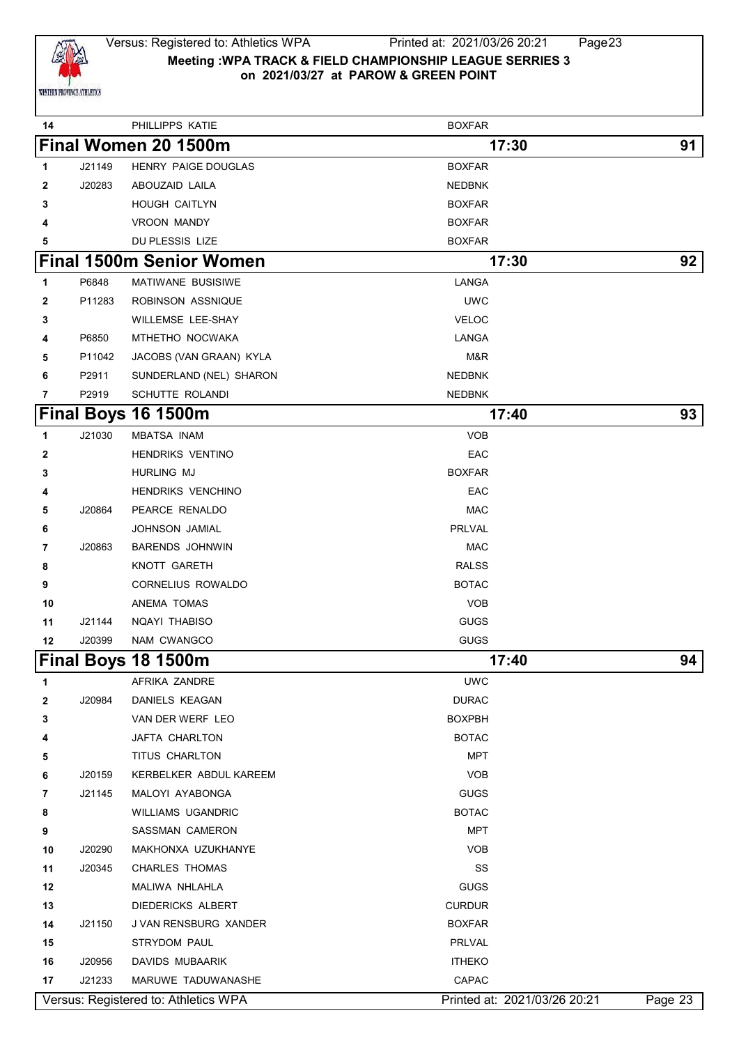

### Versus: Registered to: Athletics WPA Printed at: 2021/03/26 20:21 Page23 **Meeting :WPA TRACK & FIELD CHAMPIONSHIP LEAGUE SERRIES 3 on 2021/03/27 at PAROW & GREEN POINT**

| 14           |        | PHILLIPPS KATIE                      | <b>BOXFAR</b>                |         |
|--------------|--------|--------------------------------------|------------------------------|---------|
|              |        | Final Women 20 1500m                 | 17:30                        | 91      |
| 1            | J21149 | HENRY PAIGE DOUGLAS                  | <b>BOXFAR</b>                |         |
| 2            | J20283 | ABOUZAID LAILA                       | <b>NEDBNK</b>                |         |
| 3            |        | <b>HOUGH CAITLYN</b>                 | <b>BOXFAR</b>                |         |
| 4            |        | <b>VROON MANDY</b>                   | <b>BOXFAR</b>                |         |
| 5            |        | DU PLESSIS LIZE                      | <b>BOXFAR</b>                |         |
|              |        | <b>Final 1500m Senior Women</b>      | 17:30                        | 92      |
| 1            | P6848  | MATIWANE BUSISIWE                    | LANGA                        |         |
| $\mathbf{2}$ | P11283 | ROBINSON ASSNIQUE                    | <b>UWC</b>                   |         |
| 3            |        | <b>WILLEMSE LEE-SHAY</b>             | <b>VELOC</b>                 |         |
| 4            | P6850  | MTHETHO NOCWAKA                      | LANGA                        |         |
| 5            | P11042 | JACOBS (VAN GRAAN) KYLA              | M&R                          |         |
| 6            | P2911  | SUNDERLAND (NEL) SHARON              | <b>NEDBNK</b>                |         |
| 7            | P2919  | SCHUTTE ROLANDI                      | <b>NEDBNK</b>                |         |
|              |        | Final Boys 16 1500m                  | 17:40                        | 93      |
| 1            | J21030 | <b>MBATSA INAM</b>                   | <b>VOB</b>                   |         |
| 2            |        | <b>HENDRIKS VENTINO</b>              | EAC                          |         |
| 3            |        | <b>HURLING MJ</b>                    | <b>BOXFAR</b>                |         |
| 4            |        | HENDRIKS VENCHINO                    | EAC                          |         |
| 5            | J20864 | PEARCE RENALDO                       | <b>MAC</b>                   |         |
| 6            |        | <b>JOHNSON JAMIAL</b>                | PRLVAL                       |         |
| 7            | J20863 | <b>BARENDS JOHNWIN</b>               | <b>MAC</b>                   |         |
| 8            |        | KNOTT GARETH                         | <b>RALSS</b>                 |         |
| 9            |        | CORNELIUS ROWALDO                    | <b>BOTAC</b>                 |         |
| 10           |        | ANEMA TOMAS                          | <b>VOB</b>                   |         |
| 11           | J21144 | NQAYI THABISO                        | <b>GUGS</b>                  |         |
| 12           | J20399 | NAM CWANGCO                          | <b>GUGS</b>                  |         |
|              |        | Final Boys 18 1500m                  | 17:40                        | 94      |
| 1            |        | AFRIKA ZANDRE                        | <b>UWC</b>                   |         |
| 2            | J20984 | DANIELS KEAGAN                       | <b>DURAC</b>                 |         |
| 3            |        | VAN DER WERF LEO                     | <b>BOXPBH</b>                |         |
| 4            |        | JAFTA CHARLTON                       | <b>BOTAC</b>                 |         |
| 5            |        | TITUS CHARLTON                       | <b>MPT</b>                   |         |
| 6            | J20159 | KERBELKER ABDUL KAREEM               | <b>VOB</b>                   |         |
| 7            | J21145 | MALOYI AYABONGA                      | <b>GUGS</b>                  |         |
| 8            |        | WILLIAMS UGANDRIC                    | <b>BOTAC</b>                 |         |
| 9            |        | SASSMAN CAMERON                      | <b>MPT</b>                   |         |
| 10           | J20290 | MAKHONXA UZUKHANYE                   | <b>VOB</b>                   |         |
| 11           | J20345 | <b>CHARLES THOMAS</b>                | SS                           |         |
| 12           |        | MALIWA NHLAHLA                       | <b>GUGS</b>                  |         |
| 13           |        | DIEDERICKS ALBERT                    | <b>CURDUR</b>                |         |
| 14           | J21150 | J VAN RENSBURG XANDER                | <b>BOXFAR</b>                |         |
| 15           |        | STRYDOM PAUL                         | PRLVAL                       |         |
| 16           | J20956 | DAVIDS MUBAARIK                      | <b>ITHEKO</b>                |         |
| 17           | J21233 | MARUWE TADUWANASHE                   | CAPAC                        |         |
|              |        | Versus: Registered to: Athletics WPA | Printed at: 2021/03/26 20:21 | Page 23 |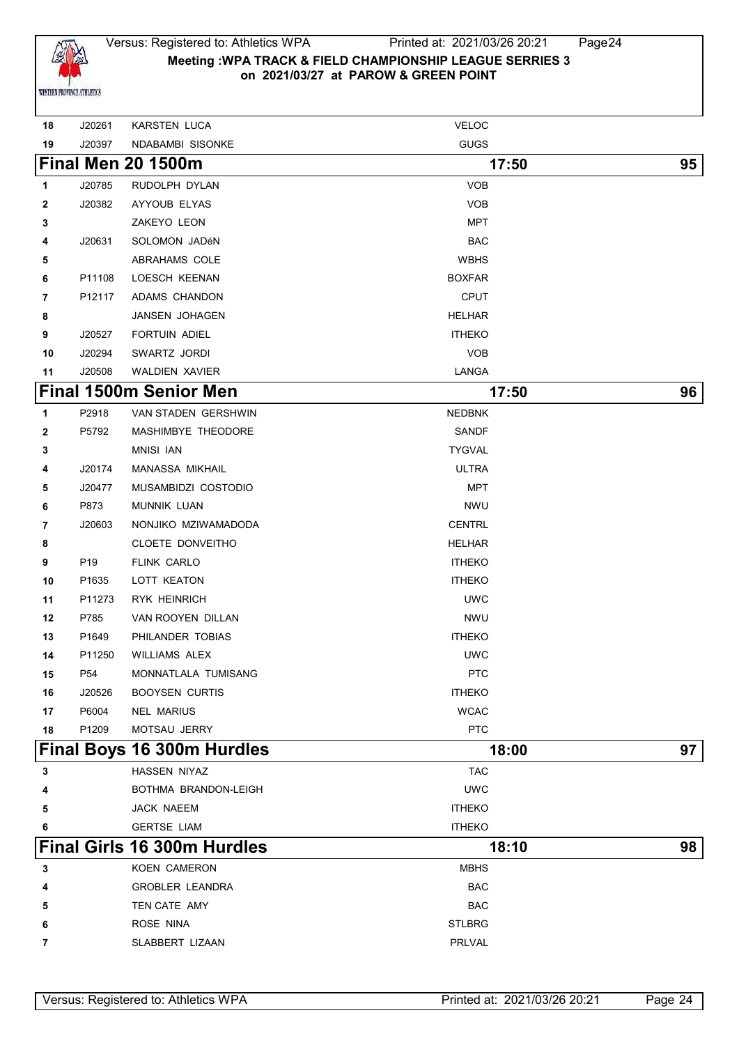

### Versus: Registered to: Athletics WPA Printed at: 2021/03/26 20:21 Page24 **Meeting :WPA TRACK & FIELD CHAMPIONSHIP LEAGUE SERRIES 3 on 2021/03/27 at PAROW & GREEN POINT**

| 18           | J20261          | <b>KARSTEN LUCA</b>                | <b>VELOC</b>  |    |
|--------------|-----------------|------------------------------------|---------------|----|
| 19           | J20397          | NDABAMBI SISONKE                   | <b>GUGS</b>   |    |
|              |                 | <b>Final Men 20 1500m</b>          | 17:50         | 95 |
| 1            | J20785          | RUDOLPH DYLAN                      | <b>VOB</b>    |    |
| 2            | J20382          | AYYOUB ELYAS                       | <b>VOB</b>    |    |
| 3            |                 | ZAKEYO LEON                        | MPT           |    |
| 4            | J20631          | SOLOMON JADéN                      | <b>BAC</b>    |    |
| 5            |                 | ABRAHAMS COLE                      | <b>WBHS</b>   |    |
| 6            | P11108          | LOESCH KEENAN                      | <b>BOXFAR</b> |    |
| 7            | P12117          | ADAMS CHANDON                      | <b>CPUT</b>   |    |
| 8            |                 | JANSEN JOHAGEN                     | <b>HELHAR</b> |    |
| 9            | J20527          | <b>FORTUIN ADIEL</b>               | <b>ITHEKO</b> |    |
| 10           | J20294          | SWARTZ JORDI                       | <b>VOB</b>    |    |
| 11           | J20508          | <b>WALDIEN XAVIER</b>              | LANGA         |    |
|              |                 | <b>Final 1500m Senior Men</b>      | 17:50         | 96 |
| 1            | P2918           | VAN STADEN GERSHWIN                | <b>NEDBNK</b> |    |
| $\mathbf{2}$ | P5792           | MASHIMBYE THEODORE                 | SANDF         |    |
| 3            |                 | <b>MNISI IAN</b>                   | <b>TYGVAL</b> |    |
| 4            | J20174          | MANASSA MIKHAIL                    | <b>ULTRA</b>  |    |
| 5            | J20477          | MUSAMBIDZI COSTODIO                | <b>MPT</b>    |    |
| 6            | P873            | <b>MUNNIK LUAN</b>                 | <b>NWU</b>    |    |
| 7            | J20603          | NONJIKO MZIWAMADODA                | <b>CENTRL</b> |    |
| 8            |                 | CLOETE DONVEITHO                   | <b>HELHAR</b> |    |
| 9            | P <sub>19</sub> | <b>FLINK CARLO</b>                 | <b>ITHEKO</b> |    |
| 10           | P1635           | LOTT KEATON                        | <b>ITHEKO</b> |    |
| 11           | P11273          | <b>RYK HEINRICH</b>                | <b>UWC</b>    |    |
| 12           | P785            | VAN ROOYEN DILLAN                  | <b>NWU</b>    |    |
| 13           | P1649           | PHILANDER TOBIAS                   | <b>ITHEKO</b> |    |
| 14           | P11250          | <b>WILLIAMS ALEX</b>               | <b>UWC</b>    |    |
| 15           | P54             | MONNATLALA TUMISANG                | <b>PTC</b>    |    |
| 16           | J20526          | <b>BOOYSEN CURTIS</b>              | <b>ITHEKO</b> |    |
| 17           | P6004           | <b>NEL MARIUS</b>                  | <b>WCAC</b>   |    |
| 18           | P1209           | MOTSAU JERRY                       | <b>PTC</b>    |    |
|              |                 | Final Boys 16 300m Hurdles         | 18:00         | 97 |
| 3            |                 | HASSEN NIYAZ                       | <b>TAC</b>    |    |
|              |                 | BOTHMA BRANDON-LEIGH               | <b>UWC</b>    |    |
| 5            |                 | JACK NAEEM                         | <b>ITHEKO</b> |    |
| 6            |                 | <b>GERTSE LIAM</b>                 | <b>ITHEKO</b> |    |
|              |                 | <b>Final Girls 16 300m Hurdles</b> | 18:10         | 98 |
| 3            |                 | KOEN CAMERON                       | <b>MBHS</b>   |    |
| 4            |                 | <b>GROBLER LEANDRA</b>             | <b>BAC</b>    |    |
| 5            |                 | TEN CATE AMY                       | <b>BAC</b>    |    |
| 6            |                 | ROSE NINA                          | <b>STLBRG</b> |    |
| 7            |                 | SLABBERT LIZAAN                    | PRLVAL        |    |
|              |                 |                                    |               |    |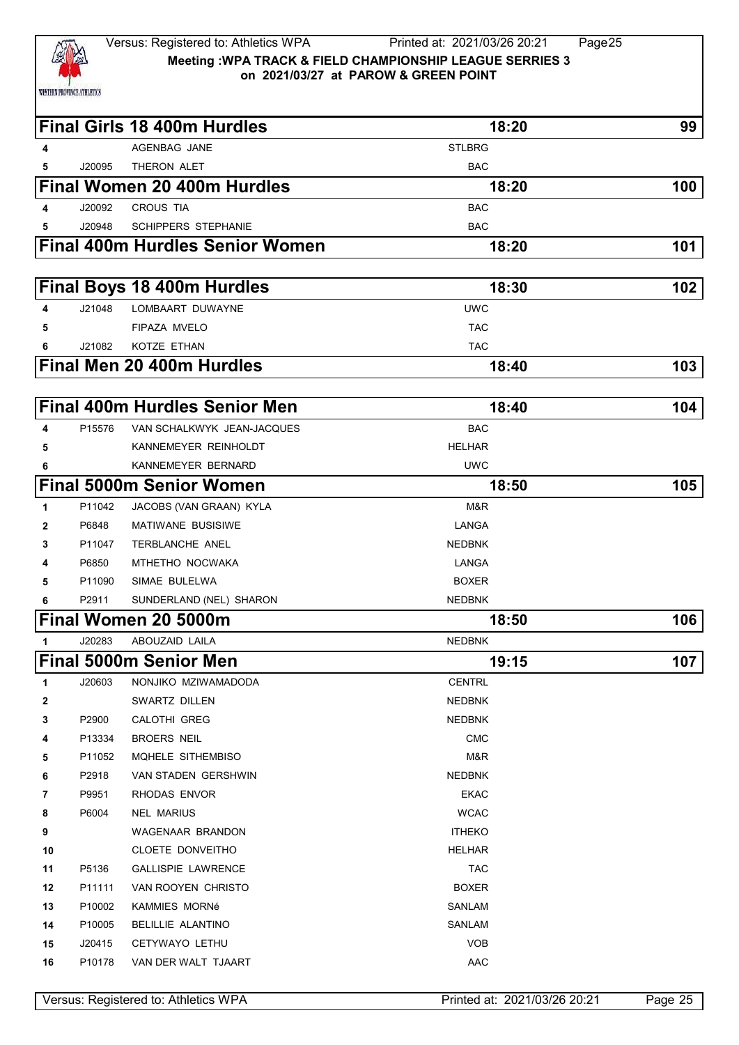

|              |        | <b>Final Girls 18 400m Hurdles</b>     | 18:20         | 99  |
|--------------|--------|----------------------------------------|---------------|-----|
| 4            |        | <b>AGENBAG JANE</b>                    | <b>STLBRG</b> |     |
| 5            | J20095 | THERON ALET                            | <b>BAC</b>    |     |
|              |        | <b>Final Women 20 400m Hurdles</b>     | 18:20         | 100 |
| 4            | J20092 | <b>CROUS TIA</b>                       | <b>BAC</b>    |     |
| 5            | J20948 | <b>SCHIPPERS STEPHANIE</b>             | <b>BAC</b>    |     |
|              |        | <b>Final 400m Hurdles Senior Women</b> | 18:20         | 101 |
|              |        | <b>Final Boys 18 400m Hurdles</b>      | 18:30         | 102 |
| 4            | J21048 | LOMBAART DUWAYNE                       | <b>UWC</b>    |     |
| 5            |        | FIPAZA MVELO                           | <b>TAC</b>    |     |
| 6            | J21082 | KOTZE ETHAN                            | <b>TAC</b>    |     |
|              |        | Final Men 20 400m Hurdles              | 18:40         | 103 |
|              |        |                                        |               |     |
|              |        | <b>Final 400m Hurdles Senior Men</b>   | 18:40         | 104 |
| 4            | P15576 | VAN SCHALKWYK JEAN-JACQUES             | <b>BAC</b>    |     |
| 5            |        | KANNEMEYER REINHOLDT                   | <b>HELHAR</b> |     |
| 6            |        | KANNEMEYER BERNARD                     | <b>UWC</b>    |     |
|              |        | <b>Final 5000m Senior Women</b>        | 18:50         | 105 |
| 1            | P11042 | JACOBS (VAN GRAAN) KYLA                | M&R           |     |
| 2            | P6848  | <b>MATIWANE BUSISIWE</b>               | LANGA         |     |
| 3            | P11047 | TERBLANCHE ANEL                        | <b>NEDBNK</b> |     |
| 4            | P6850  | MTHETHO NOCWAKA                        | LANGA         |     |
| 5            | P11090 | SIMAE BULELWA                          | <b>BOXER</b>  |     |
| 6            | P2911  | SUNDERLAND (NEL) SHARON                | <b>NEDBNK</b> |     |
|              |        | Final Women 20 5000m                   | 18:50         | 106 |
|              | J20283 | ABOUZAID LAILA                         | <b>NEDBNK</b> |     |
|              |        | <b>Final 5000m Senior Men</b>          | 19:15         | 107 |
| 1            | J20603 | NONJIKO MZIWAMADODA                    | <b>CENTRL</b> |     |
| $\mathbf{2}$ |        | SWARTZ DILLEN                          | <b>NEDBNK</b> |     |
| 3            | P2900  | <b>CALOTHI GREG</b>                    | <b>NEDBNK</b> |     |
| 4            | P13334 | <b>BROERS NEIL</b>                     | <b>CMC</b>    |     |
| 5            | P11052 | MQHELE SITHEMBISO                      | M&R           |     |
| 6            | P2918  | VAN STADEN GERSHWIN                    | <b>NEDBNK</b> |     |
| 7            | P9951  | RHODAS ENVOR                           | <b>EKAC</b>   |     |
| 8            | P6004  | <b>NEL MARIUS</b>                      | <b>WCAC</b>   |     |
| 9            |        | WAGENAAR BRANDON                       | <b>ITHEKO</b> |     |
| 10           |        | CLOETE DONVEITHO                       | <b>HELHAR</b> |     |
| 11           | P5136  | <b>GALLISPIE LAWRENCE</b>              | <b>TAC</b>    |     |
| 12           | P11111 | VAN ROOYEN CHRISTO                     | <b>BOXER</b>  |     |
| 13           | P10002 | KAMMIES MORNé                          | SANLAM        |     |
| 14           | P10005 | BELILLIE ALANTINO                      | SANLAM        |     |
| 15           | J20415 | CETYWAYO LETHU                         | <b>VOB</b>    |     |
| 16           | P10178 | VAN DER WALT TJAART                    | AAC           |     |
|              |        |                                        |               |     |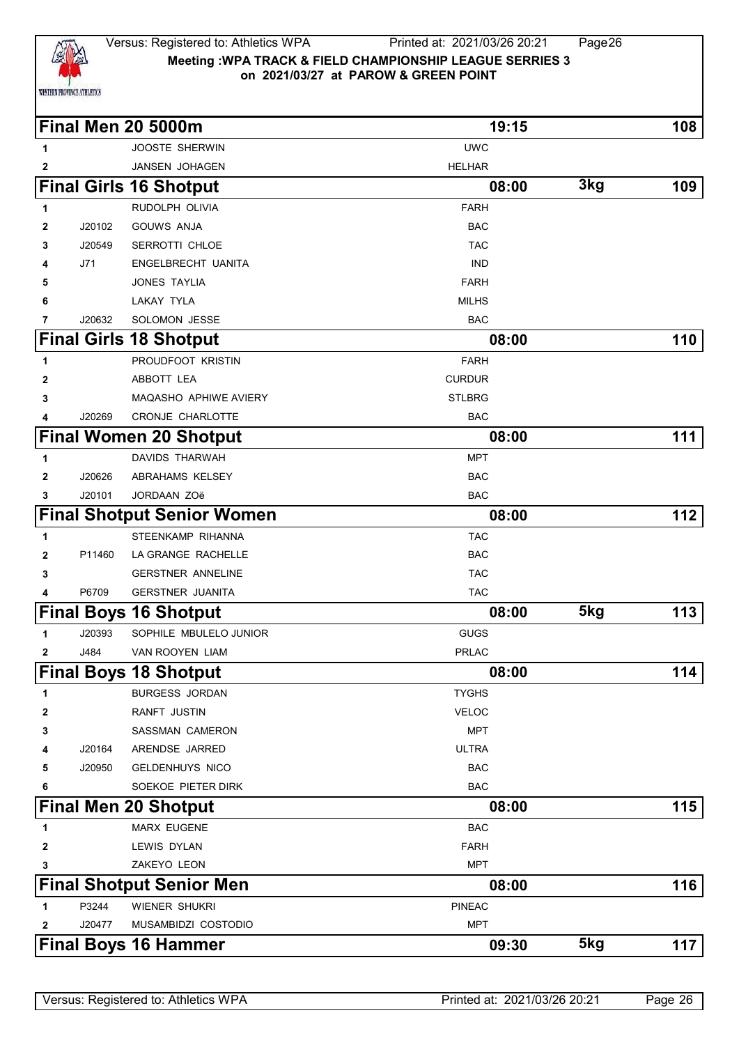

#### Versus: Registered to: Athletics WPA Printed at: 2021/03/26 20:21 Page26 **Meeting :WPA TRACK & FIELD CHAMPIONSHIP LEAGUE SERRIES 3 on 2021/03/27 at PAROW & GREEN POINT**

|              |        | <b>Final Men 20 5000m</b>         | 19:15         |     | 108 |
|--------------|--------|-----------------------------------|---------------|-----|-----|
| 1            |        | <b>JOOSTE SHERWIN</b>             | <b>UWC</b>    |     |     |
| 2            |        | JANSEN JOHAGEN                    | <b>HELHAR</b> |     |     |
|              |        | <b>Final Girls 16 Shotput</b>     | 08:00         | 3kg | 109 |
| 1            |        | RUDOLPH OLIVIA                    | <b>FARH</b>   |     |     |
| 2            | J20102 | <b>GOUWS ANJA</b>                 | <b>BAC</b>    |     |     |
| 3            | J20549 | SERROTTI CHLOE                    | <b>TAC</b>    |     |     |
| 4            | J71    | ENGELBRECHT UANITA                | <b>IND</b>    |     |     |
| 5            |        | JONES TAYLIA                      | <b>FARH</b>   |     |     |
| 6            |        | LAKAY TYLA                        | <b>MILHS</b>  |     |     |
| 7            | J20632 | SOLOMON JESSE                     | <b>BAC</b>    |     |     |
|              |        | <b>Final Girls 18 Shotput</b>     | 08:00         |     | 110 |
| 1            |        | PROUDFOOT KRISTIN                 | <b>FARH</b>   |     |     |
| 2            |        | ABBOTT LEA                        | <b>CURDUR</b> |     |     |
| 3            |        | MAQASHO APHIWE AVIERY             | <b>STLBRG</b> |     |     |
| 4            | J20269 | CRONJE CHARLOTTE                  | <b>BAC</b>    |     |     |
|              |        | <b>Final Women 20 Shotput</b>     | 08:00         |     | 111 |
| 1            |        | <b>DAVIDS THARWAH</b>             | <b>MPT</b>    |     |     |
| $\mathbf{2}$ | J20626 | ABRAHAMS KELSEY                   | <b>BAC</b>    |     |     |
| 3            | J20101 | JORDAAN ZOë                       | <b>BAC</b>    |     |     |
|              |        | <b>Final Shotput Senior Women</b> | 08:00         |     | 112 |
| 1            |        | STEENKAMP RIHANNA                 | <b>TAC</b>    |     |     |
| $\mathbf{2}$ | P11460 | LA GRANGE RACHELLE                | <b>BAC</b>    |     |     |
| 3            |        | <b>GERSTNER ANNELINE</b>          | <b>TAC</b>    |     |     |
| 4            | P6709  | <b>GERSTNER JUANITA</b>           | <b>TAC</b>    |     |     |
|              |        | <b>Final Boys 16 Shotput</b>      | 08:00         | 5kg | 113 |
| 1            | J20393 | SOPHILE MBULELO JUNIOR            | <b>GUGS</b>   |     |     |
| 2            | J484   | VAN ROOYEN LIAM                   | <b>PRLAC</b>  |     |     |
|              |        | <b>Final Boys 18 Shotput</b>      | 08:00         |     | 114 |
| 1            |        | <b>BURGESS JORDAN</b>             | <b>TYGHS</b>  |     |     |
| 2            |        | RANFT JUSTIN                      | <b>VELOC</b>  |     |     |
| 3            |        | <b>SASSMAN CAMERON</b>            | <b>MPT</b>    |     |     |
| 4            | J20164 | ARENDSE JARRED                    | <b>ULTRA</b>  |     |     |
| 5            | J20950 | <b>GELDENHUYS NICO</b>            | <b>BAC</b>    |     |     |
| 6            |        | SOEKOE PIETER DIRK                | <b>BAC</b>    |     |     |
|              |        | <b>Final Men 20 Shotput</b>       | 08:00         |     | 115 |
| 1            |        | <b>MARX EUGENE</b>                | <b>BAC</b>    |     |     |
| 2            |        | LEWIS DYLAN                       | <b>FARH</b>   |     |     |
| 3            |        | ZAKEYO LEON                       | <b>MPT</b>    |     |     |
|              |        | <b>Final Shotput Senior Men</b>   | 08:00         |     | 116 |
| 1            | P3244  | WIENER SHUKRI                     | <b>PINEAC</b> |     |     |
| 2            | J20477 | MUSAMBIDZI COSTODIO               | <b>MPT</b>    |     |     |
|              |        | <b>Final Boys 16 Hammer</b>       | 09:30         | 5kg | 117 |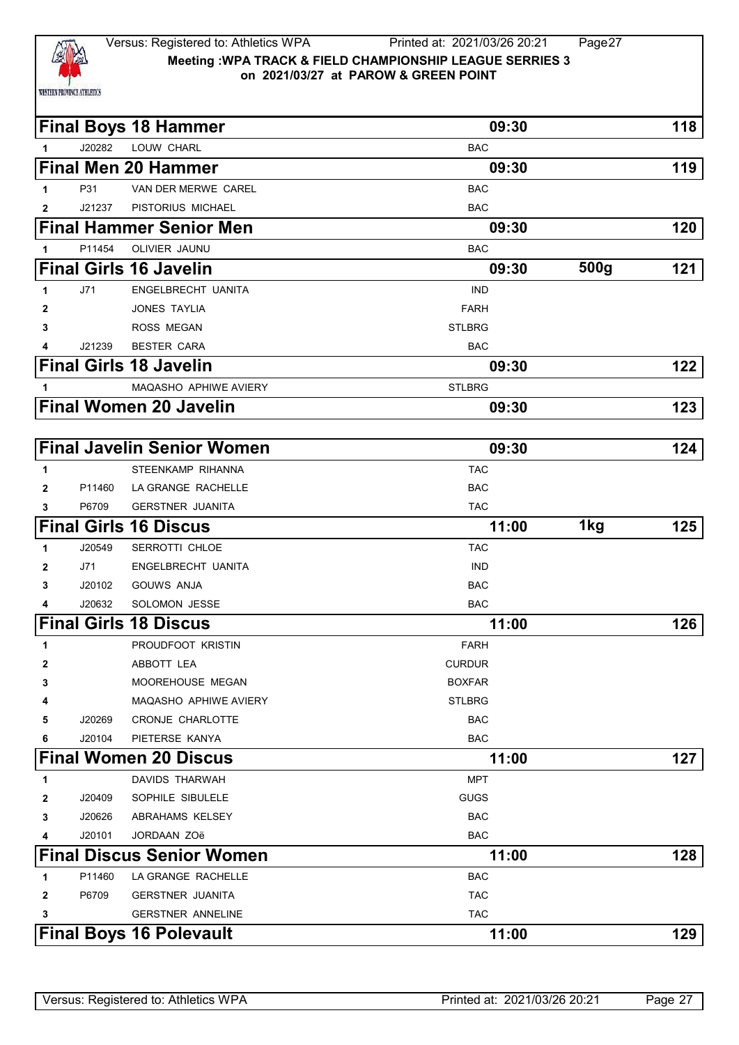

### Versus: Registered to: Athletics WPA Printed at: 2021/03/26 20:21 Page27 **Meeting :WPA TRACK & FIELD CHAMPIONSHIP LEAGUE SERRIES 3 on 2021/03/27 at PAROW & GREEN POINT**

|              |        | <b>Final Boys 18 Hammer</b>       | 09:30         |      | 118 |
|--------------|--------|-----------------------------------|---------------|------|-----|
| 1            | J20282 | LOUW CHARL                        | <b>BAC</b>    |      |     |
|              |        | <b>Final Men 20 Hammer</b>        | 09:30         |      | 119 |
| 1.           | P31    | VAN DER MERWE CAREL               | <b>BAC</b>    |      |     |
| 2            | J21237 | PISTORIUS MICHAEL                 | <b>BAC</b>    |      |     |
|              |        | <b>Final Hammer Senior Men</b>    | 09:30         |      | 120 |
| 1            | P11454 | OLIVIER JAUNU                     | <b>BAC</b>    |      |     |
|              |        | <b>Final Girls 16 Javelin</b>     | 09:30         | 500g | 121 |
| 1            | J71    | ENGELBRECHT UANITA                | <b>IND</b>    |      |     |
| 2            |        | <b>JONES TAYLIA</b>               | <b>FARH</b>   |      |     |
| 3            |        | <b>ROSS MEGAN</b>                 | <b>STLBRG</b> |      |     |
| 4            | J21239 | <b>BESTER CARA</b>                | <b>BAC</b>    |      |     |
|              |        | <b>Final Girls 18 Javelin</b>     | 09:30         |      | 122 |
| 1            |        | MAQASHO APHIWE AVIERY             | <b>STLBRG</b> |      |     |
|              |        | <b>Final Women 20 Javelin</b>     | 09:30         |      | 123 |
|              |        |                                   |               |      |     |
|              |        | <b>Final Javelin Senior Women</b> | 09:30         |      | 124 |
| 1            |        | STEENKAMP RIHANNA                 | <b>TAC</b>    |      |     |
| $\mathbf{2}$ | P11460 | LA GRANGE RACHELLE                | <b>BAC</b>    |      |     |
| 3            | P6709  | <b>GERSTNER JUANITA</b>           | <b>TAC</b>    |      |     |
|              |        | <b>Final Girls 16 Discus</b>      | 11:00         | 1kg  | 125 |
| 1            | J20549 | SERROTTI CHLOE                    | <b>TAC</b>    |      |     |
| $\mathbf{2}$ | J71    | ENGELBRECHT UANITA                | <b>IND</b>    |      |     |
| 3            | J20102 | <b>GOUWS ANJA</b>                 | <b>BAC</b>    |      |     |
| 4            | J20632 | SOLOMON JESSE                     | <b>BAC</b>    |      |     |
|              |        | <b>Final Girls 18 Discus</b>      | 11:00         |      | 126 |
| 1            |        | PROUDFOOT KRISTIN                 | <b>FARH</b>   |      |     |
| 2            |        | ABBOTT LEA                        | <b>CURDUR</b> |      |     |
| 3            |        | MOOREHOUSE MEGAN                  | <b>BOXFAR</b> |      |     |
| 4            |        | MAQASHO APHIWE AVIERY             | <b>STLBRG</b> |      |     |
| 5            | J20269 | CRONJE CHARLOTTE                  | <b>BAC</b>    |      |     |
| 6            | J20104 | PIETERSE KANYA                    | <b>BAC</b>    |      |     |
|              |        | <b>Final Women 20 Discus</b>      | 11:00         |      | 127 |
| 1            |        | DAVIDS THARWAH                    | <b>MPT</b>    |      |     |
| 2            | J20409 | SOPHILE SIBULELE                  | <b>GUGS</b>   |      |     |
| 3            | J20626 | ABRAHAMS KELSEY                   | <b>BAC</b>    |      |     |
| 4            | J20101 | JORDAAN ZOë                       | <b>BAC</b>    |      |     |
|              |        | <b>Final Discus Senior Women</b>  | 11:00         |      | 128 |
| 1            | P11460 | LA GRANGE RACHELLE                | <b>BAC</b>    |      |     |
| 2            | P6709  | <b>GERSTNER JUANITA</b>           | <b>TAC</b>    |      |     |
| 3            |        | <b>GERSTNER ANNELINE</b>          | <b>TAC</b>    |      |     |
|              |        | <b>Final Boys 16 Polevault</b>    | 11:00         |      | 129 |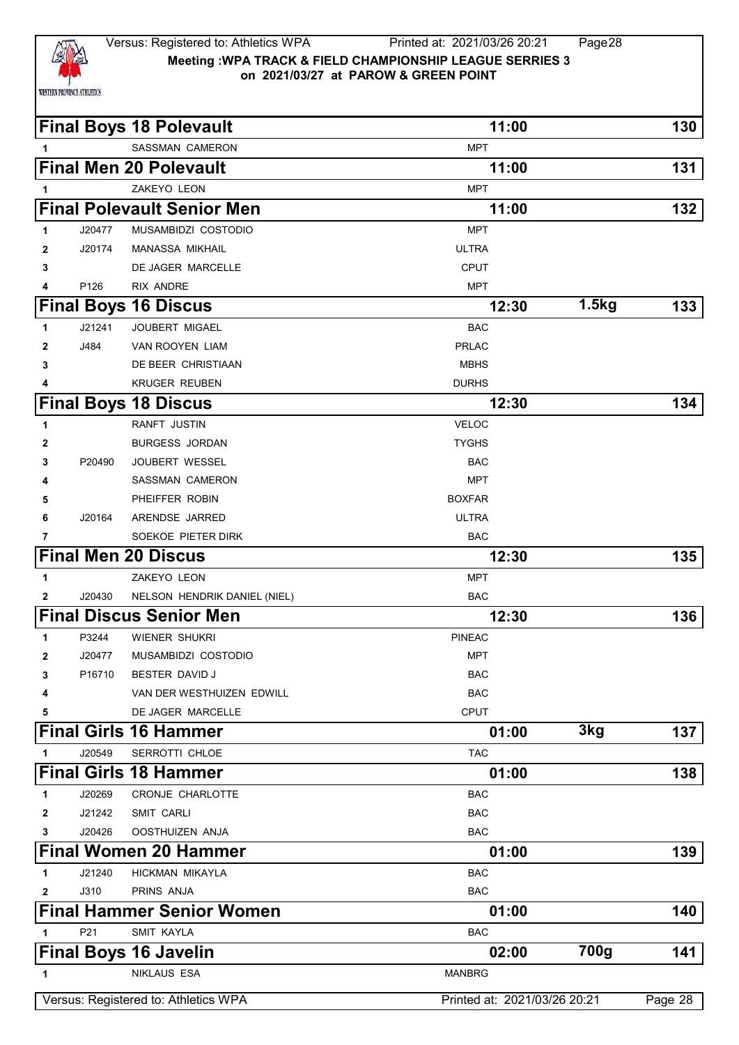

|              |        | <b>Final Boys 18 Polevault</b>       | 11:00                        |       | 130     |
|--------------|--------|--------------------------------------|------------------------------|-------|---------|
| 1            |        | <b>SASSMAN CAMERON</b>               | <b>MPT</b>                   |       |         |
|              |        | <b>Final Men 20 Polevault</b>        | 11:00                        |       | 131     |
| 1            |        | ZAKEYO LEON                          | <b>MPT</b>                   |       |         |
|              |        | <b>Final Polevault Senior Men</b>    | 11:00                        |       | 132     |
| 1            | J20477 | MUSAMBIDZI COSTODIO                  | <b>MPT</b>                   |       |         |
| 2            | J20174 | MANASSA MIKHAIL                      | ULTRA                        |       |         |
| 3            |        | DE JAGER MARCELLE                    | <b>CPUT</b>                  |       |         |
| 4            | P126   | <b>RIX ANDRE</b>                     | <b>MPT</b>                   |       |         |
|              |        | <b>Final Boys 16 Discus</b>          | 12:30                        | 1.5kg | 133     |
| 1            | J21241 | JOUBERT MIGAEL                       | <b>BAC</b>                   |       |         |
| 2            | J484   | VAN ROOYEN LIAM                      | <b>PRLAC</b>                 |       |         |
| 3            |        | DE BEER CHRISTIAAN                   | <b>MBHS</b>                  |       |         |
| 4            |        | <b>KRUGER REUBEN</b>                 | <b>DURHS</b>                 |       |         |
|              |        | <b>Final Boys 18 Discus</b>          | 12:30                        |       | 134     |
| 1            |        | <b>RANFT JUSTIN</b>                  | <b>VELOC</b>                 |       |         |
| 2            |        | <b>BURGESS JORDAN</b>                | <b>TYGHS</b>                 |       |         |
| 3            | P20490 | <b>JOUBERT WESSEL</b>                | <b>BAC</b>                   |       |         |
| 4            |        | <b>SASSMAN CAMERON</b>               | <b>MPT</b>                   |       |         |
| 5            |        | PHEIFFER ROBIN                       | <b>BOXFAR</b>                |       |         |
| 6            | J20164 | ARENDSE JARRED                       | <b>ULTRA</b>                 |       |         |
| 7            |        | SOEKOE PIETER DIRK                   | <b>BAC</b>                   |       |         |
|              |        | <b>Final Men 20 Discus</b>           | 12:30                        |       | 135     |
| 1            |        | ZAKEYO LEON                          | <b>MPT</b>                   |       |         |
| $\mathbf{2}$ | J20430 | NELSON HENDRIK DANIEL (NIEL)         | <b>BAC</b>                   |       |         |
|              |        | <b>Final Discus Senior Men</b>       | 12:30                        |       | 136     |
| 1            | P3244  | <b>WIENER SHUKRI</b>                 | <b>PINEAC</b>                |       |         |
| 2            | J20477 | MUSAMBIDZI COSTODIO                  | <b>MPT</b>                   |       |         |
| 3            | P16710 | BESTER DAVID J                       | <b>BAC</b>                   |       |         |
| 4            |        | VAN DER WESTHUIZEN EDWILL            | <b>BAC</b>                   |       |         |
| 5            |        | DE JAGER MARCELLE                    | CPUT                         |       |         |
|              |        | <b>Final Girls 16 Hammer</b>         | 01:00                        | 3kg   | 137     |
| 1            | J20549 | SERROTTI CHLOE                       | <b>TAC</b>                   |       |         |
|              |        | <b>Final Girls 18 Hammer</b>         | 01:00                        |       | 138     |
| 1            | J20269 | CRONJE CHARLOTTE                     | <b>BAC</b>                   |       |         |
| 2            | J21242 | <b>SMIT CARLI</b>                    | BAC                          |       |         |
| 3            | J20426 | OOSTHUIZEN ANJA                      | <b>BAC</b>                   |       |         |
|              |        | <b>Final Women 20 Hammer</b>         | 01:00                        |       | 139     |
| 1            | J21240 | HICKMAN MIKAYLA                      | <b>BAC</b>                   |       |         |
| 2            | J310   | PRINS ANJA                           | <b>BAC</b>                   |       |         |
|              |        | <b>Final Hammer Senior Women</b>     | 01:00                        |       | 140     |
| 1            | P21    | <b>SMIT KAYLA</b>                    | <b>BAC</b>                   |       |         |
|              |        | <b>Final Boys 16 Javelin</b>         | 02:00                        | 700g  | 141     |
| 1            |        | <b>NIKLAUS ESA</b>                   | <b>MANBRG</b>                |       |         |
|              |        | Versus: Registered to: Athletics WPA | Printed at: 2021/03/26 20:21 |       | Page 28 |